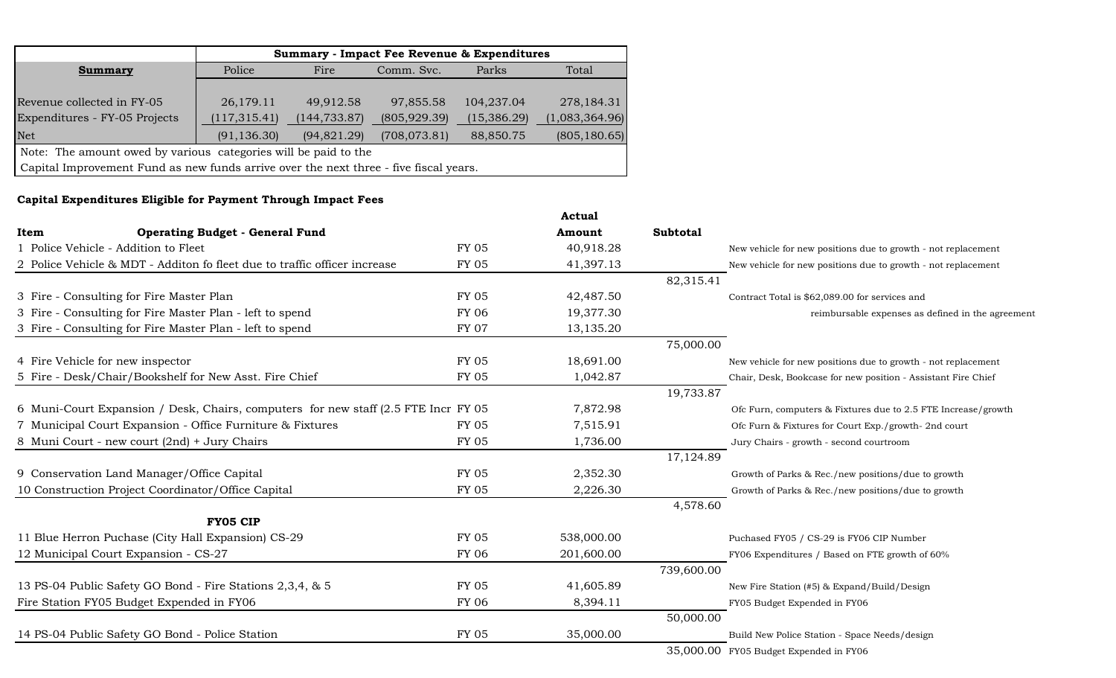|                                                                                       |               |               | <b>Summary - Impact Fee Revenue &amp; Expenditures</b> |              |                |
|---------------------------------------------------------------------------------------|---------------|---------------|--------------------------------------------------------|--------------|----------------|
| <b>Summary</b>                                                                        | Police        | Fire          | Comm. Svc.                                             | Parks        | Total          |
|                                                                                       |               |               |                                                        |              |                |
| Revenue collected in FY-05                                                            | 26,179.11     | 49,912.58     | 97,855.58                                              | 104,237.04   | 278, 184. 31   |
| Expenditures - FY-05 Projects                                                         | (117, 315.41) | (144, 733.87) | (805, 929.39)                                          | (15, 386.29) | (1,083,364.96) |
| <b>Net</b>                                                                            | (91, 136.30)  | (94,821.29)   | (708, 073.81)                                          | 88,850.75    | (805, 180.65)  |
| Note: The amount owed by various categories will be paid to the                       |               |               |                                                        |              |                |
| Capital Improvement Fund as new funds arrive over the next three - five fiscal years. |               |               |                                                        |              |                |

### **Capital Expenditures Eligible for Payment Through Impact Fees**

|                                                                                     |              | <b>Actual</b> |                 |                                                               |
|-------------------------------------------------------------------------------------|--------------|---------------|-----------------|---------------------------------------------------------------|
| <b>Operating Budget - General Fund</b><br>Item                                      |              | Amount        | <b>Subtotal</b> |                                                               |
| 1 Police Vehicle - Addition to Fleet                                                | <b>FY 05</b> | 40,918.28     |                 | New vehicle for new positions due to growth - not replacement |
| 2 Police Vehicle & MDT - Additon fo fleet due to traffic officer increase           | <b>FY 05</b> | 41,397.13     |                 | New vehicle for new positions due to growth - not replacement |
|                                                                                     |              |               | 82,315.41       |                                                               |
| 3 Fire - Consulting for Fire Master Plan                                            | <b>FY 05</b> | 42,487.50     |                 | Contract Total is \$62,089.00 for services and                |
| 3 Fire - Consulting for Fire Master Plan - left to spend                            | <b>FY 06</b> | 19,377.30     |                 | reimbursable expenses as defined in the agreement             |
| 3 Fire - Consulting for Fire Master Plan - left to spend                            | <b>FY 07</b> | 13,135.20     |                 |                                                               |
|                                                                                     |              |               | 75,000.00       |                                                               |
| 4 Fire Vehicle for new inspector                                                    | <b>FY 05</b> | 18,691.00     |                 | New vehicle for new positions due to growth - not replacement |
| 5 Fire - Desk/Chair/Bookshelf for New Asst. Fire Chief                              | <b>FY 05</b> | 1,042.87      |                 | Chair, Desk, Bookcase for new position - Assistant Fire Chief |
|                                                                                     |              |               | 19,733.87       |                                                               |
| 6 Muni-Court Expansion / Desk, Chairs, computers for new staff (2.5 FTE Incr FY 05) |              | 7,872.98      |                 | Ofc Furn, computers & Fixtures due to 2.5 FTE Increase/growth |
| 7 Municipal Court Expansion - Office Furniture & Fixtures                           | <b>FY 05</b> | 7,515.91      |                 | Ofc Furn & Fixtures for Court Exp./growth- 2nd court          |
| 8 Muni Court - new court (2nd) + Jury Chairs                                        | <b>FY 05</b> | 1,736.00      |                 | Jury Chairs - growth - second courtroom                       |
|                                                                                     |              |               | 17,124.89       |                                                               |
| 9 Conservation Land Manager/Office Capital                                          | <b>FY 05</b> | 2,352.30      |                 | Growth of Parks & Rec./new positions/due to growth            |
| 10 Construction Project Coordinator/Office Capital                                  | <b>FY 05</b> | 2,226.30      |                 | Growth of Parks & Rec./new positions/due to growth            |
|                                                                                     |              |               | 4,578.60        |                                                               |
| <b>FY05 CIP</b>                                                                     |              |               |                 |                                                               |
| 11 Blue Herron Puchase (City Hall Expansion) CS-29                                  | <b>FY 05</b> | 538,000.00    |                 | Puchased FY05 / CS-29 is FY06 CIP Number                      |
| 12 Municipal Court Expansion - CS-27                                                | <b>FY 06</b> | 201,600.00    |                 | FY06 Expenditures / Based on FTE growth of 60%                |
|                                                                                     |              |               | 739,600.00      |                                                               |
| 13 PS-04 Public Safety GO Bond - Fire Stations 2,3,4, & 5                           | <b>FY 05</b> | 41,605.89     |                 | New Fire Station (#5) & Expand/Build/Design                   |
| Fire Station FY05 Budget Expended in FY06                                           | <b>FY 06</b> | 8,394.11      |                 | FY05 Budget Expended in FY06                                  |
|                                                                                     |              |               | 50,000.00       |                                                               |
| 14 PS-04 Public Safety GO Bond - Police Station                                     | <b>FY 05</b> | 35,000.00     |                 | Build New Police Station - Space Needs/design                 |
|                                                                                     |              |               |                 | 35,000.00 FY05 Budget Expended in FY06                        |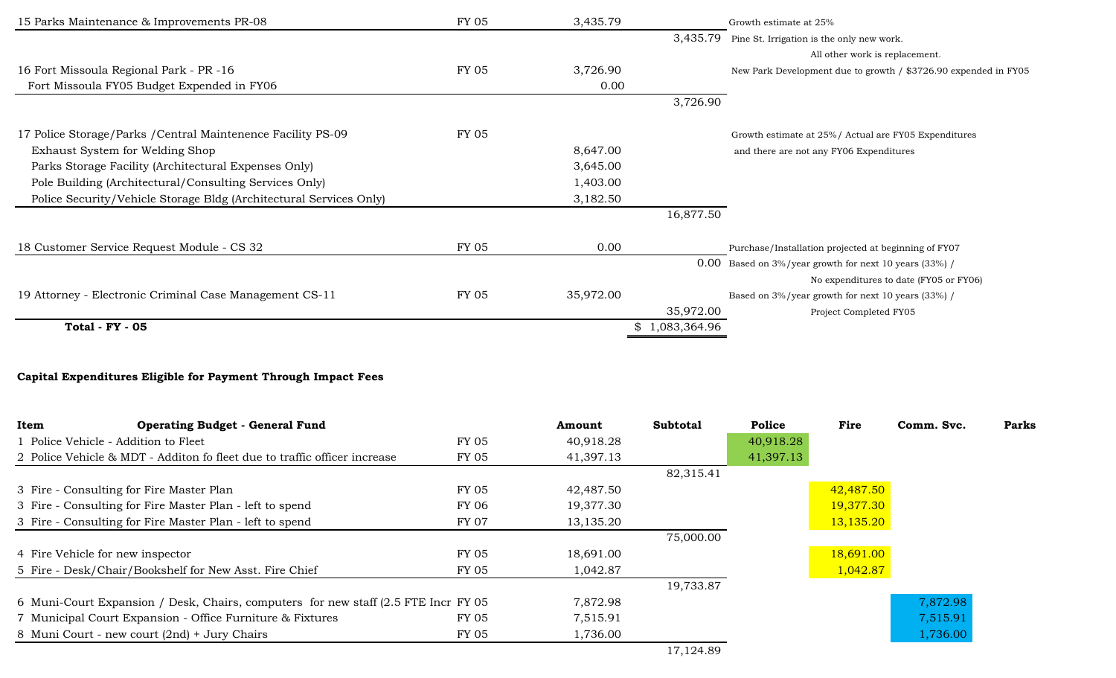| 15 Parks Maintenance & Improvements PR-08                          | <b>FY 05</b> | 3,435.79  |              | Growth estimate at 25%                                          |
|--------------------------------------------------------------------|--------------|-----------|--------------|-----------------------------------------------------------------|
|                                                                    |              |           | 3,435.79     | Pine St. Irrigation is the only new work.                       |
|                                                                    |              |           |              | All other work is replacement.                                  |
| 16 Fort Missoula Regional Park - PR -16                            | <b>FY 05</b> | 3,726.90  |              | New Park Development due to growth / \$3726.90 expended in FY05 |
| Fort Missoula FY05 Budget Expended in FY06                         |              | 0.00      |              |                                                                 |
|                                                                    |              |           | 3,726.90     |                                                                 |
| 17 Police Storage/Parks / Central Maintenence Facility PS-09       | <b>FY 05</b> |           |              | Growth estimate at 25%/ Actual are FY05 Expenditures            |
| Exhaust System for Welding Shop                                    |              | 8,647.00  |              | and there are not any FY06 Expenditures                         |
| Parks Storage Facility (Architectural Expenses Only)               |              | 3,645.00  |              |                                                                 |
| Pole Building (Architectural/Consulting Services Only)             |              | 1,403.00  |              |                                                                 |
| Police Security/Vehicle Storage Bldg (Architectural Services Only) |              | 3,182.50  |              |                                                                 |
|                                                                    |              |           | 16,877.50    |                                                                 |
| 18 Customer Service Request Module - CS 32                         | <b>FY 05</b> | 0.00      |              | Purchase/Installation projected at beginning of FY07            |
|                                                                    |              |           |              | $0.00$ Based on 3%/year growth for next 10 years (33%) /        |
|                                                                    |              |           |              | No expenditures to date (FY05 or FY06)                          |
| 19 Attorney - Electronic Criminal Case Management CS-11            | <b>FY 05</b> | 35,972.00 |              | Based on 3%/year growth for next 10 years (33%) /               |
|                                                                    |              |           | 35,972.00    | Project Completed FY05                                          |
| <b>Total - FY - 05</b>                                             |              |           | 1,083,364.96 |                                                                 |

# **Capital Expenditures Eligible for Payment Through Impact Fees**

| <b>Operating Budget - General Fund</b><br>Item                                      |       | Amount    | <b>Subtotal</b> | Police    | Fire      | Comm. Svc. | Parks |
|-------------------------------------------------------------------------------------|-------|-----------|-----------------|-----------|-----------|------------|-------|
| 1 Police Vehicle - Addition to Fleet                                                | FY 05 | 40,918.28 |                 | 40,918.28 |           |            |       |
| 2 Police Vehicle & MDT - Additon fo fleet due to traffic officer increase           | FY 05 | 41,397.13 |                 | 41,397.13 |           |            |       |
|                                                                                     |       |           | 82,315.41       |           |           |            |       |
| 3 Fire - Consulting for Fire Master Plan                                            | FY 05 | 42,487.50 |                 |           | 42,487.50 |            |       |
| 3 Fire - Consulting for Fire Master Plan - left to spend                            | FY 06 | 19,377.30 |                 |           | 19,377.30 |            |       |
| 3 Fire - Consulting for Fire Master Plan - left to spend                            | FY 07 | 13,135.20 |                 |           | 13,135.20 |            |       |
|                                                                                     |       |           | 75,000.00       |           |           |            |       |
| 4 Fire Vehicle for new inspector                                                    | FY 05 | 18,691.00 |                 |           | 18,691.00 |            |       |
| 5 Fire - Desk/Chair/Bookshelf for New Asst. Fire Chief                              | FY 05 | 1,042.87  |                 |           | 1,042.87  |            |       |
|                                                                                     |       |           | 19,733.87       |           |           |            |       |
| 6 Muni-Court Expansion / Desk, Chairs, computers for new staff (2.5 FTE Incr FY 05) |       | 7,872.98  |                 |           |           | 7,872.98   |       |
| 7 Municipal Court Expansion - Office Furniture & Fixtures                           | FY 05 | 7,515.91  |                 |           |           | 7,515.91   |       |
| 8 Muni Court - new court (2nd) + Jury Chairs                                        | FY 05 | 1,736.00  |                 |           |           | 1,736.00   |       |
|                                                                                     |       |           | 17,124.89       |           |           |            |       |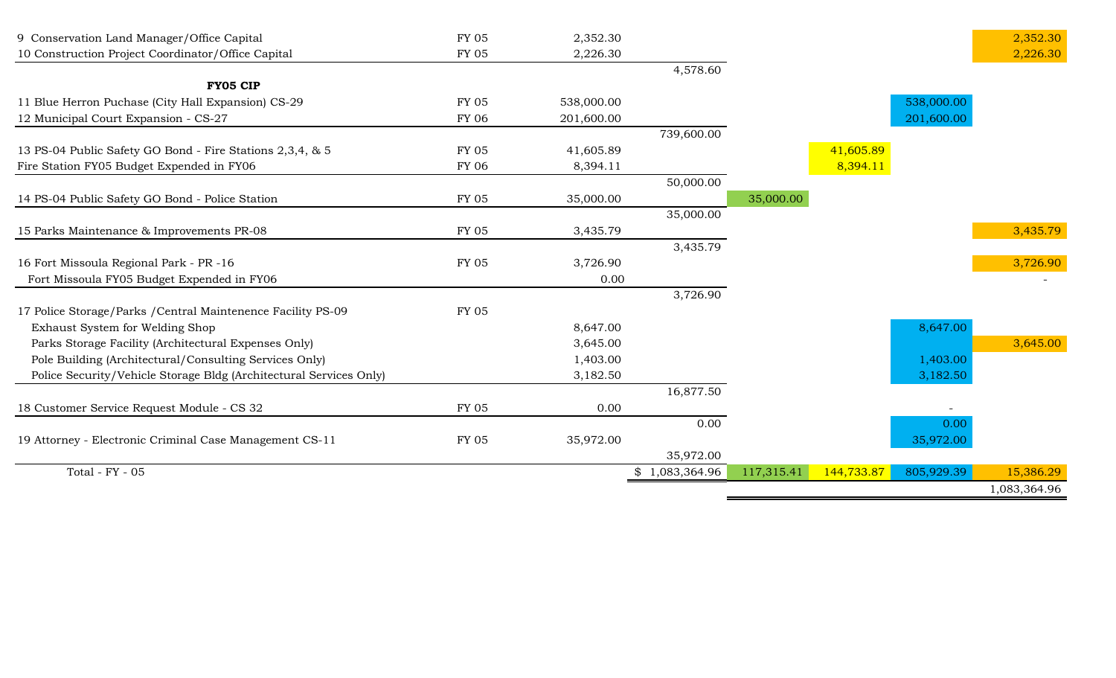| 9 Conservation Land Manager/Office Capital                         | <b>FY 05</b> | 2,352.30   |                |            |            |            | 2,352.30     |
|--------------------------------------------------------------------|--------------|------------|----------------|------------|------------|------------|--------------|
| 10 Construction Project Coordinator/Office Capital                 | <b>FY 05</b> | 2,226.30   |                |            |            |            | 2,226.30     |
|                                                                    |              |            | 4,578.60       |            |            |            |              |
| <b>FY05 CIP</b>                                                    |              |            |                |            |            |            |              |
| 11 Blue Herron Puchase (City Hall Expansion) CS-29                 | <b>FY 05</b> | 538,000.00 |                |            |            | 538,000.00 |              |
| 12 Municipal Court Expansion - CS-27                               | <b>FY 06</b> | 201,600.00 |                |            |            | 201,600.00 |              |
|                                                                    |              |            | 739,600.00     |            |            |            |              |
| 13 PS-04 Public Safety GO Bond - Fire Stations 2,3,4, & 5          | <b>FY 05</b> | 41,605.89  |                |            | 41,605.89  |            |              |
| Fire Station FY05 Budget Expended in FY06                          | FY 06        | 8,394.11   |                |            | 8,394.11   |            |              |
|                                                                    |              |            | 50,000.00      |            |            |            |              |
| 14 PS-04 Public Safety GO Bond - Police Station                    | FY 05        | 35,000.00  |                | 35,000.00  |            |            |              |
|                                                                    |              |            | 35,000.00      |            |            |            |              |
| 15 Parks Maintenance & Improvements PR-08                          | <b>FY 05</b> | 3,435.79   |                |            |            |            | 3,435.79     |
|                                                                    |              |            | 3,435.79       |            |            |            |              |
| 16 Fort Missoula Regional Park - PR -16                            | FY 05        | 3,726.90   |                |            |            |            | 3,726.90     |
| Fort Missoula FY05 Budget Expended in FY06                         |              | 0.00       |                |            |            |            |              |
|                                                                    |              |            | 3,726.90       |            |            |            |              |
| 17 Police Storage/Parks / Central Maintenence Facility PS-09       | <b>FY 05</b> |            |                |            |            |            |              |
| Exhaust System for Welding Shop                                    |              | 8,647.00   |                |            |            | 8,647.00   |              |
| Parks Storage Facility (Architectural Expenses Only)               |              | 3,645.00   |                |            |            |            | 3,645.00     |
| Pole Building (Architectural/Consulting Services Only)             |              | 1,403.00   |                |            |            | 1,403.00   |              |
| Police Security/Vehicle Storage Bldg (Architectural Services Only) |              | 3,182.50   |                |            |            | 3,182.50   |              |
|                                                                    |              |            | 16,877.50      |            |            |            |              |
| 18 Customer Service Request Module - CS 32                         | <b>FY 05</b> | 0.00       |                |            |            |            |              |
|                                                                    |              |            | 0.00           |            |            | 0.00       |              |
| 19 Attorney - Electronic Criminal Case Management CS-11            | <b>FY 05</b> | 35,972.00  |                |            |            | 35,972.00  |              |
|                                                                    |              |            | 35,972.00      |            |            |            |              |
| Total - FY - 05                                                    |              |            | \$1,083,364.96 | 117,315.41 | 144,733.87 | 805,929.39 | 15,386.29    |
|                                                                    |              |            |                |            |            |            | 1,083,364.96 |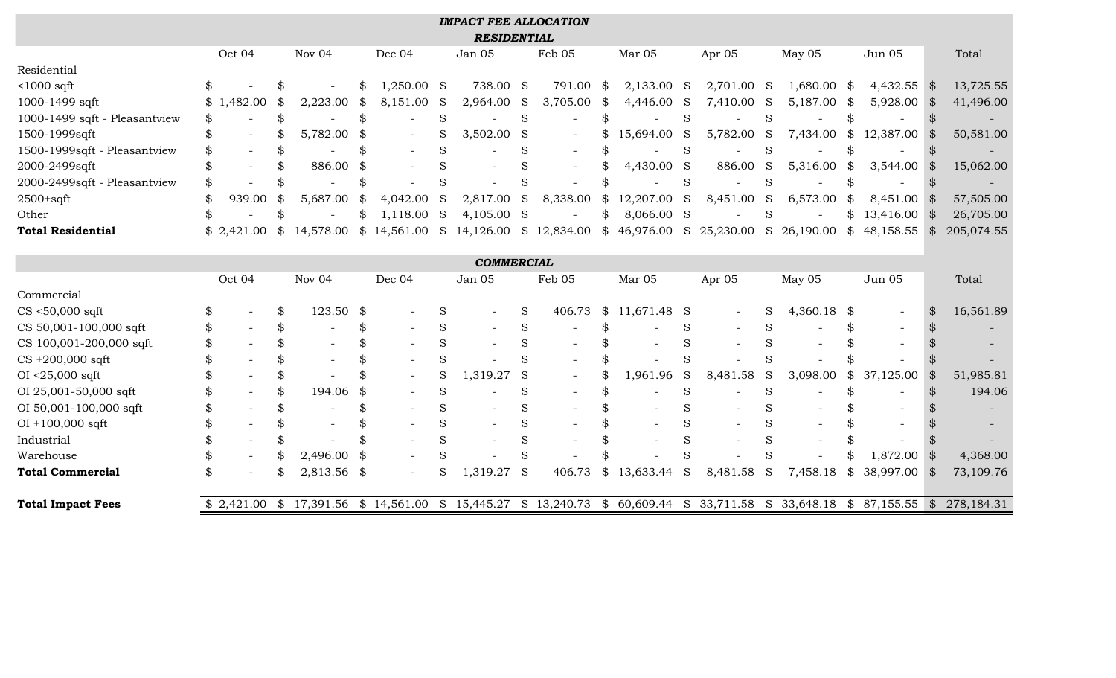| <b>IMPACT FEE ALLOCATION</b>  |    |            |    |             |    |               |    |                                                                               |                            |             |    |               |    |           |                     |                                |                |            |
|-------------------------------|----|------------|----|-------------|----|---------------|----|-------------------------------------------------------------------------------|----------------------------|-------------|----|---------------|----|-----------|---------------------|--------------------------------|----------------|------------|
|                               |    |            |    |             |    |               |    | <b>RESIDENTIAL</b>                                                            |                            |             |    |               |    |           |                     |                                |                |            |
|                               |    | Oct 04     |    | Nov 04      |    | Dec 04        |    | Jan 05                                                                        |                            | Feb 05      |    | Mar 05        |    | Apr 05    | May 05              | Jun 05                         |                | Total      |
| Residential                   |    |            |    |             |    |               |    |                                                                               |                            |             |    |               |    |           |                     |                                |                |            |
| $<$ 1000 sqft                 | \$ |            |    |             | \$ | $1,250.00$ \$ |    | 738.00 \$                                                                     |                            | 791.00      | \$ | 2,133.00      | \$ | 2,701.00  | \$<br>$1,680.00$ \$ | $4,432.55$ \$                  |                | 13,725.55  |
| 1000-1499 sqft                |    | \$1,482.00 | \$ | 2,223.00    | \$ | 8,151.00      | \$ | 2,964.00                                                                      | \$                         | 3,705.00    | \$ | 4,446.00      |    | 7,410.00  | \$<br>5,187.00      | \$<br>5,928.00                 | -\$            | 41,496.00  |
| 1000-1499 sqft - Pleasantview | \$ |            |    |             | \$ |               | \$ |                                                                               | \$                         |             |    |               |    |           | \$                  | \$                             | \$             |            |
| 1500-1999sqft                 | \$ |            |    | 5,782.00    | \$ |               |    | 3,502.00                                                                      | S                          |             |    | 15,694.00     |    | 5,782.00  | \$<br>7,434.00      | \$<br>12,387.00                | $\mathfrak{F}$ | 50,581.00  |
| 1500-1999sqft - Pleasantview  | \$ |            |    |             | \$ |               | \$ |                                                                               |                            |             | \$ |               |    |           | \$                  |                                |                |            |
| 2000-2499sqft                 | \$ |            |    | 886.00      | \$ |               |    |                                                                               |                            |             |    | 4,430.00      | \$ | 886.00    | \$<br>5,316.00      | \$<br>3,544.00                 | \$             | 15,062.00  |
| 2000-2499sqft - Pleasantview  | \$ |            |    |             | \$ |               |    |                                                                               |                            |             |    |               |    |           | \$                  | \$                             | \$             |            |
| $2500+sqrt$                   | \$ | 939.00     |    | 5,687.00    | \$ | 4,042.00      | \$ | 2,817.00                                                                      | \$                         | 8,338.00    | \$ | 12,207.00     |    | 8,451.00  | \$<br>6,573.00      | 8,451.00                       |                | 57,505.00  |
| Other                         |    |            | \$ |             | \$ | 1,118.00      | \$ | 4,105.00                                                                      | $\boldsymbol{\mathcal{S}}$ |             | \$ | $8,066.00$ \$ |    |           | \$                  | \$<br>$13,416.00$ \$           |                | 26,705.00  |
| <b>Total Residential</b>      |    | \$2,421.00 | \$ | 14,578.00   |    |               |    | $$14,561.00 \$14,126.00$                                                      |                            | \$12,834.00 |    | \$46,976.00   | \$ | 25,230.00 | \$26,190.00         | \$<br>48,158.55                | \$             | 205,074.55 |
|                               |    |            |    |             |    |               |    |                                                                               |                            |             |    |               |    |           |                     |                                |                |            |
| <b>COMMERCIAL</b>             |    |            |    |             |    |               |    |                                                                               |                            |             |    |               |    |           |                     |                                |                |            |
|                               |    | Oct 04     |    | Nov 04      |    | Dec 04        |    | Jan 05                                                                        |                            | Feb 05      |    | Mar 05        |    | Apr 05    | May 05              | Jun 05                         |                | Total      |
| Commercial                    |    |            |    |             |    |               |    |                                                                               |                            |             |    |               |    |           |                     |                                |                |            |
| $CS < 50,000$ sqft            | \$ |            |    | 123.50      | \$ |               | \$ |                                                                               | \$                         | 406.73      | \$ | 11,671.48     | \$ |           | \$<br>4,360.18      | \$<br>$\overline{\phantom{a}}$ | \$             | 16,561.89  |
| CS 50,001-100,000 sqft        | \$ |            |    |             | \$ |               | \$ |                                                                               | \$                         |             |    |               |    |           | \$                  | \$                             |                |            |
| CS 100,001-200,000 sqft       |    |            |    |             | \$ |               | \$ |                                                                               |                            |             |    |               |    |           |                     |                                |                |            |
| $CS +200,000$ sqft            |    |            |    |             | \$ |               | \$ |                                                                               |                            |             |    |               |    |           |                     |                                |                |            |
| $OI < 25,000$ sqft            |    |            |    |             | \$ |               | \$ | 1,319.27                                                                      | \$                         |             |    | 1,961.96      | \$ | 8,481.58  | \$<br>3,098.00      | \$<br>37,125.00                | \$             | 51,985.81  |
| OI 25,001-50,000 sqft         |    |            |    | 194.06      | \$ |               | \$ |                                                                               |                            |             | \$ |               |    |           | \$                  |                                |                | 194.06     |
| OI 50,001-100,000 sqft        |    |            |    |             | \$ |               | \$ |                                                                               |                            |             |    |               |    |           |                     |                                |                |            |
| $OI + 100,000$ sqft           |    |            |    |             |    |               |    |                                                                               |                            |             |    |               |    |           |                     |                                |                |            |
| Industrial                    |    |            |    |             |    |               |    |                                                                               |                            |             |    |               |    |           |                     |                                |                |            |
| Warehouse                     | \$ |            |    | 2,496.00    | \$ |               | \$ |                                                                               |                            |             |    |               |    |           |                     | 1,872.00                       | \$             | 4,368.00   |
| <b>Total Commercial</b>       | \$ |            |    | 2,813.56 \$ |    |               | \$ | 1,319.27                                                                      | \$                         | 406.73      | \$ | 13,633.44     | \$ | 8,481.58  | \$<br>7,458.18      | \$<br>38,997.00                | <b>S</b>       | 73,109.76  |
|                               |    |            |    |             |    |               |    |                                                                               |                            |             |    |               |    |           |                     |                                |                |            |
| <b>Total Impact Fees</b>      |    | \$2,421.00 |    |             |    |               |    | $$17,391.56$ $$14,561.00$ $$15,445.27$ $$13,240.73$ $$60,609.44$ $$33,711.58$ |                            |             |    |               |    |           |                     | \$33,648.18 \$87,155.55        | $\frac{1}{2}$  | 278,184.31 |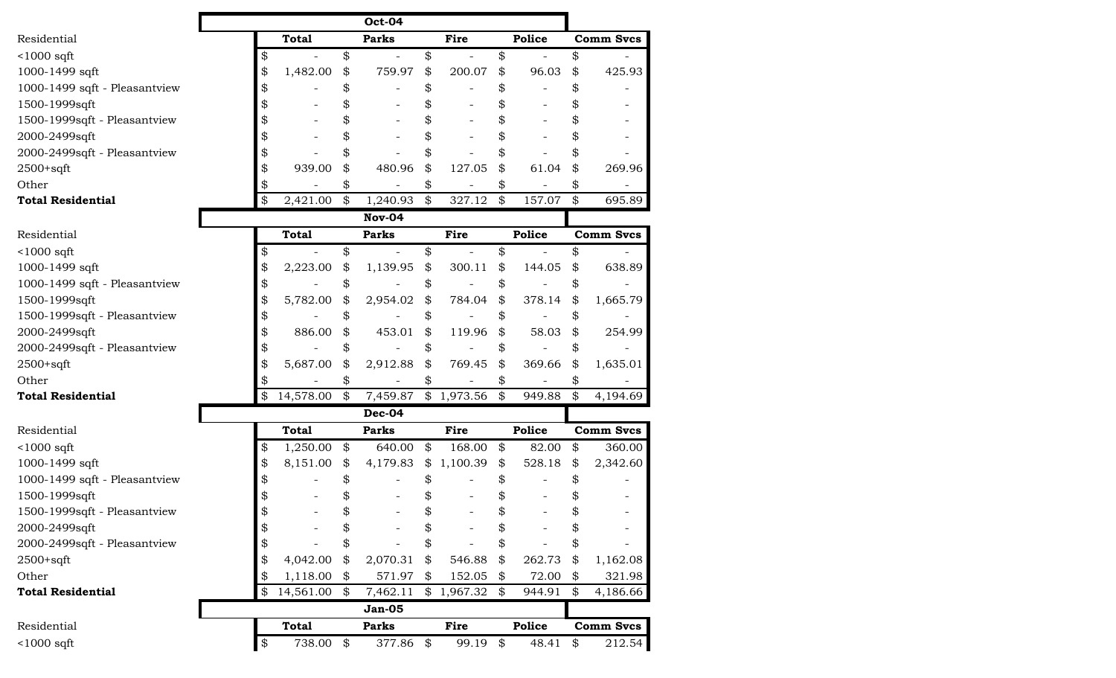|                               |                 |                            | <b>Oct-04</b>            |                      |                            |        |                  |
|-------------------------------|-----------------|----------------------------|--------------------------|----------------------|----------------------------|--------|------------------|
| Residential                   | <b>Total</b>    |                            | <b>Parks</b>             | Fire                 |                            | Police | <b>Comm Svcs</b> |
| $<$ 1000 sqft                 | \$              | \$                         |                          | \$                   | \$                         |        | \$               |
| 1000-1499 sqft                | 1,482.00        | \$                         | 759.97                   | \$<br>200.07         | \$                         | 96.03  | \$<br>425.93     |
| 1000-1499 sqft - Pleasantview |                 |                            |                          | \$                   | \$                         |        | \$               |
| 1500-1999sqft                 |                 | \$                         |                          |                      | \$                         |        | \$               |
| 1500-1999sqft - Pleasantview  |                 |                            |                          |                      | \$                         |        |                  |
| 2000-2499sqft                 |                 |                            |                          | \$                   | \$                         |        | \$               |
| 2000-2499sqft - Pleasantview  |                 |                            |                          | \$                   | \$                         |        | \$               |
| 2500+sqft                     | 939.00          | \$                         | 480.96                   | \$<br>127.05         | \$                         | 61.04  | \$<br>269.96     |
| Other                         |                 | \$                         |                          | \$                   | \$                         |        | \$               |
| <b>Total Residential</b>      | \$<br>2,421.00  | $\boldsymbol{\mathcal{Z}}$ | 1,240.93                 | \$<br>327.12         | $\boldsymbol{\mathcal{Z}}$ | 157.07 | \$<br>695.89     |
|                               |                 |                            | Nov-04                   |                      |                            |        |                  |
| Residential                   | <b>Total</b>    |                            | <b>Parks</b>             | Fire                 |                            | Police | <b>Comm Svcs</b> |
| $1000$ sqft                   |                 | \$                         | $\overline{\phantom{a}}$ | \$                   | \$                         |        | \$               |
| 1000-1499 sqft                | 2,223.00        | \$                         | 1,139.95                 | \$<br>300.11         | \$                         | 144.05 | \$<br>638.89     |
| 1000-1499 sqft - Pleasantview |                 |                            |                          | \$                   | \$                         |        | \$               |
| 1500-1999sqft                 | 5,782.00        | \$                         | 2,954.02                 | \$<br>784.04         | \$                         | 378.14 | \$<br>1,665.79   |
| 1500-1999sqft - Pleasantview  |                 | \$                         |                          | \$                   | \$                         |        | \$               |
| 2000-2499sqft                 | 886.00          | \$                         | 453.01                   | \$<br>119.96         | \$                         | 58.03  | \$<br>254.99     |
| 2000-2499sqft - Pleasantview  |                 |                            |                          | \$                   | \$                         |        | \$               |
| $2500+sqrt$                   | 5,687.00        | \$                         | 2,912.88                 | \$<br>769.45         | \$                         | 369.66 | \$<br>1,635.01   |
| Other                         |                 |                            |                          | \$                   | \$                         |        | \$               |
| <b>Total Residential</b>      | \$<br>14,578.00 | $\boldsymbol{\mathcal{S}}$ |                          | 7,459.87 \$ 1,973.56 | \$                         | 949.88 | \$<br>4,194.69   |
|                               |                 |                            | Dec-04                   |                      |                            |        |                  |
| Residential                   | <b>Total</b>    |                            | <b>Parks</b>             | <b>Fire</b>          |                            | Police | <b>Comm Svcs</b> |
| $<$ 1000 sqft                 | \$<br>1,250.00  | \$                         | 640.00                   | \$<br>168.00         | \$                         | 82.00  | \$<br>360.00     |
| 1000-1499 sqft                | 8,151.00        | \$                         | 4,179.83                 | \$1,100.39           | \$                         | 528.18 | \$<br>2,342.60   |
| 1000-1499 sqft - Pleasantview |                 |                            |                          |                      | \$                         |        | \$               |
| 1500-1999sqft                 |                 |                            |                          | \$                   | \$                         |        | \$               |
| 1500-1999sqft - Pleasantview  |                 | \$                         |                          | \$                   | \$                         |        | \$               |
| 2000-2499sqft                 |                 | \$                         |                          | \$                   | \$                         |        | \$               |
| 2000-2499sqft - Pleasantview  |                 | \$                         |                          | \$                   | \$                         |        | \$               |
| 2500+sqft                     | 4,042.00        | \$                         | 2,070.31                 | \$<br>546.88         | \$                         | 262.73 | \$<br>1,162.08   |
| Other                         | \$<br>1,118.00  | \$                         | 571.97                   | \$<br>152.05         | \$                         | 72.00  | \$<br>321.98     |
| <b>Total Residential</b>      | \$<br>14,561.00 | \$                         | 7,462.11                 | \$1,967.32           | \$                         | 944.91 | \$<br>4,186.66   |
|                               |                 |                            | <b>Jan-05</b>            |                      |                            |        |                  |
| Residential                   | <b>Total</b>    |                            | <b>Parks</b>             | Fire                 |                            | Police | <b>Comm Svcs</b> |
| $<$ 1000 sqft                 | \$<br>738.00    | \$                         | 377.86                   | \$<br>99.19          | \$                         | 48.41  | \$<br>212.54     |
|                               |                 |                            |                          |                      |                            |        |                  |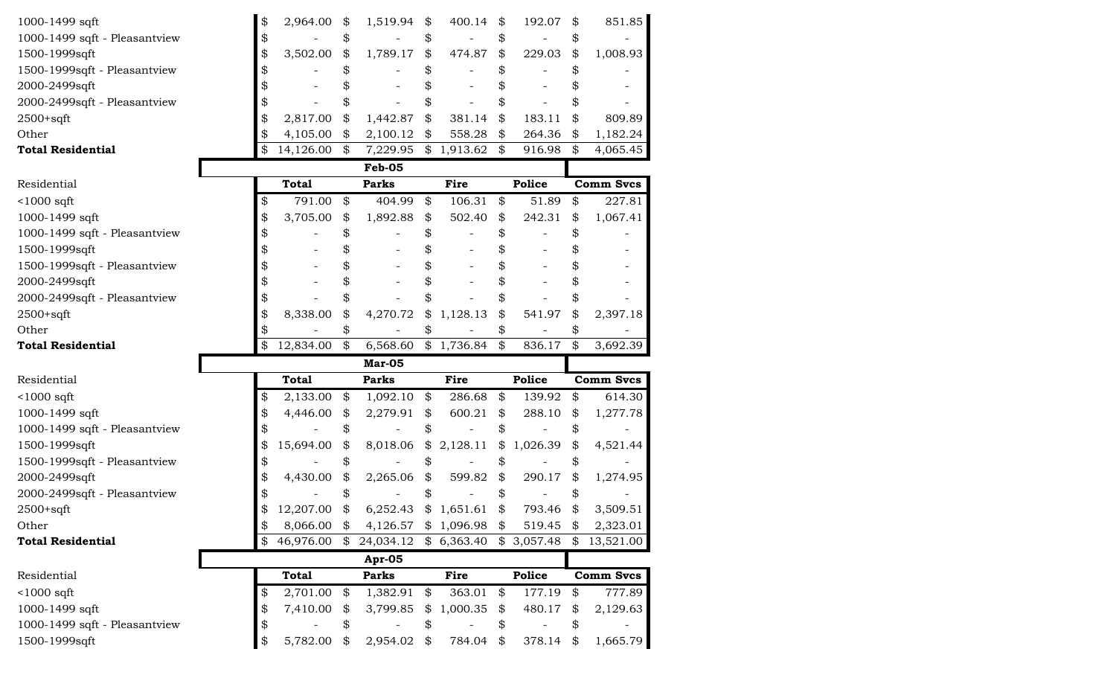| 1000-1499 sqft                | \$<br>2,964.00  | \$                         | 1,519.94      | \$<br>400.14            | \$<br>192.07 | \$<br>851.85     |
|-------------------------------|-----------------|----------------------------|---------------|-------------------------|--------------|------------------|
| 1000-1499 sqft - Pleasantview | \$              |                            |               |                         | \$           |                  |
| 1500-1999sqft                 | \$<br>3,502.00  | \$                         | 1,789.17      | \$<br>474.87            | \$<br>229.03 | \$<br>1,008.93   |
| 1500-1999sqft - Pleasantview  |                 |                            |               |                         |              |                  |
| 2000-2499sqft                 |                 |                            |               |                         | \$           |                  |
| 2000-2499sqft - Pleasantview  |                 |                            |               |                         |              |                  |
| 2500+sqft                     | 2,817.00        | \$                         | 1,442.87      | \$<br>381.14            | \$<br>183.11 | 809.89           |
| Other                         | \$<br>4,105.00  | \$                         | 2,100.12      | \$<br>558.28            | \$<br>264.36 | \$<br>1,182.24   |
| <b>Total Residential</b>      | \$<br>14,126.00 | $\boldsymbol{\mathcal{Z}}$ | 7,229.95      | \$1,913.62              | \$<br>916.98 | \$<br>4,065.45   |
|                               |                 |                            | <b>Feb-05</b> |                         |              |                  |
| Residential                   | <b>Total</b>    |                            | <b>Parks</b>  | Fire                    | Police       | <b>Comm Svcs</b> |
| $<$ 1000 sqft                 | \$<br>791.00    | \$                         | 404.99        | \$<br>106.31            | \$<br>51.89  | \$<br>227.81     |
| 1000-1499 sqft                | \$<br>3,705.00  | \$                         | 1,892.88      | \$<br>502.40            | \$<br>242.31 | \$<br>1,067.41   |
| 1000-1499 sqft - Pleasantview |                 |                            |               |                         | \$           |                  |
| 1500-1999sqft                 |                 |                            |               |                         |              |                  |
| 1500-1999sqft - Pleasantview  |                 |                            |               |                         |              |                  |
| 2000-2499sqft                 |                 |                            |               |                         | \$           |                  |
| 2000-2499sqft - Pleasantview  | \$              | \$                         |               |                         | \$           |                  |
| 2500+sqft                     | \$<br>8,338.00  |                            | 4,270.72      | \$<br>1,128.13          | \$<br>541.97 | \$<br>2,397.18   |
| Other                         | \$              |                            |               |                         |              |                  |
|                               |                 |                            |               |                         |              |                  |
| <b>Total Residential</b>      | \$<br>12,834.00 | $\frac{1}{2}$              | 6,568.60      | \$1,736.84              | \$<br>836.17 | \$<br>3,692.39   |
|                               |                 |                            | Mar-05        |                         |              |                  |
| Residential                   | <b>Total</b>    |                            | <b>Parks</b>  | <b>Fire</b>             | Police       | <b>Comm Svcs</b> |
| $<$ 1000 sqft                 | \$<br>2,133.00  | \$                         | 1,092.10      | \$<br>286.68            | \$<br>139.92 | \$<br>614.30     |
| 1000-1499 sqft                | \$<br>4,446.00  | \$                         | 2,279.91      | \$<br>600.21            | \$<br>288.10 | \$<br>1,277.78   |
| 1000-1499 sqft - Pleasantview |                 |                            |               |                         | \$           |                  |
| 1500-1999sqft                 | 15,694.00       | \$                         | 8,018.06      | \$2,128.11              | \$1,026.39   | \$<br>4,521.44   |
| 1500-1999sqft - Pleasantview  |                 |                            |               |                         | \$           |                  |
| 2000-2499sqft                 | \$<br>4,430.00  | \$                         | 2,265.06      | \$<br>599.82            | \$<br>290.17 | \$<br>1,274.95   |
| 2000-2499sqft - Pleasantview  |                 |                            |               |                         |              |                  |
| 2500+sqft                     | 12,207.00       | $\boldsymbol{\mathcal{L}}$ |               | 6,252.43 $$1,651.61$ \$ | 793.46       | \$<br>3,509.51   |
| Other                         | \$<br>8,066.00  | \$                         | 4,126.57      | \$1,096.98              | \$<br>519.45 | \$<br>2,323.01   |
| <b>Total Residential</b>      | \$<br>46,976.00 | \$                         | 24,034.12     | \$6,363.40              | \$3,057.48   | \$<br>13,521.00  |
|                               |                 |                            | Apr-05        |                         |              |                  |
| Residential                   | <b>Total</b>    |                            | <b>Parks</b>  | Fire                    | Police       | <b>Comm Svcs</b> |
| $<$ 1000 sqft                 | \$<br>2,701.00  | \$                         | 1,382.91      | \$<br>363.01            | \$<br>177.19 | \$<br>777.89     |
| 1000-1499 sqft                | \$<br>7,410.00  | \$                         | 3,799.85      | \$<br>1,000.35          | \$<br>480.17 | \$<br>2,129.63   |
| 1000-1499 sqft - Pleasantview | \$              | \$                         |               | \$                      | \$           | \$               |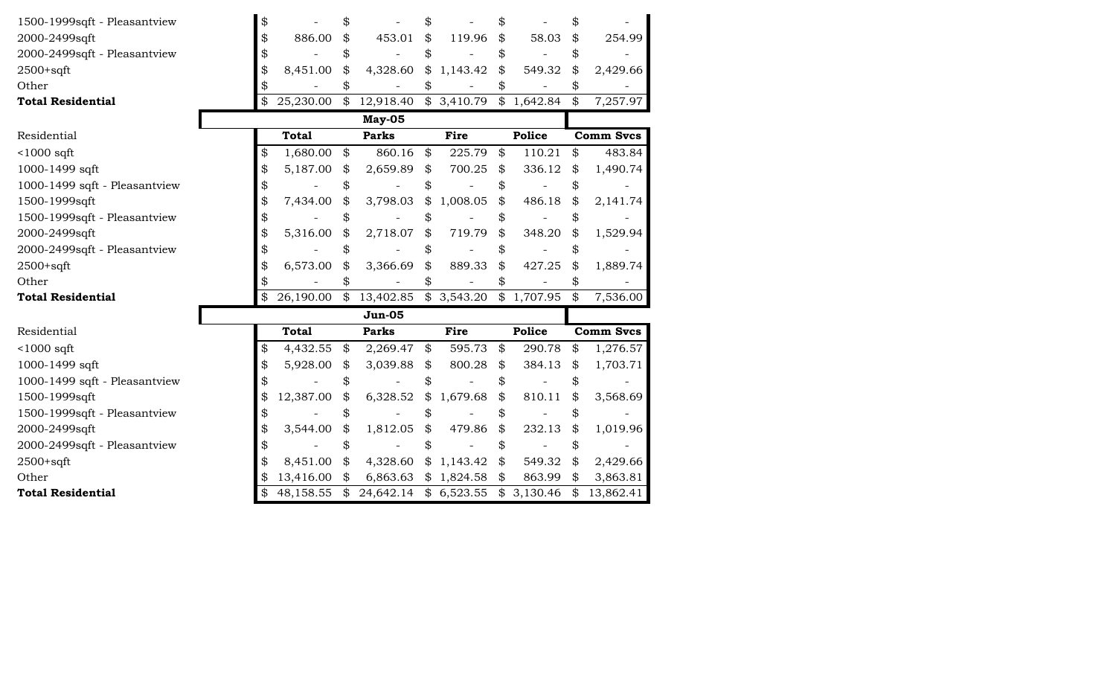| 1500-1999sqft - Pleasantview  | \$                |                                                | \$             |               |                            |                  |
|-------------------------------|-------------------|------------------------------------------------|----------------|---------------|----------------------------|------------------|
| 2000-2499sqft                 | \$<br>886.00      | \$<br>453.01                                   | \$<br>119.96   | \$<br>58.03   | \$                         | 254.99           |
| 2000-2499sqft - Pleasantview  | \$                |                                                | \$             | \$            | \$                         |                  |
| $2500+sqrt$                   | \$<br>8,451.00    | \$<br>4,328.60                                 | \$<br>1,143.42 | \$<br>549.32  | \$                         | 2,429.66         |
| Other                         |                   |                                                | \$             |               |                            |                  |
| <b>Total Residential</b>      | \$                | 25,230.00 \$ 12,918.40 \$ 3,410.79 \$ 1,642.84 |                |               | $\boldsymbol{\mathcal{L}}$ | 7,257.97         |
|                               |                   | May-05                                         |                |               |                            |                  |
| Residential                   | <b>Total</b>      | <b>Parks</b>                                   | <b>Fire</b>    | <b>Police</b> |                            | <b>Comm Svcs</b> |
| $1000$ sqft                   | \$<br>1,680.00 \$ | 860.16                                         | \$<br>225.79   | \$<br>110.21  | \$                         | 483.84           |
| 1000-1499 sqft                | \$<br>5,187.00    | \$<br>2,659.89                                 | \$<br>700.25   | \$<br>336.12  | \$                         | 1,490.74         |
| 1000-1499 sqft - Pleasantview | \$                | \$                                             | \$             | \$            | \$                         |                  |
| 1500-1999sqft                 | \$<br>7,434.00    | \$<br>3,798.03                                 | \$<br>1,008.05 | \$<br>486.18  | \$                         | 2,141.74         |
| 1500-1999sqft - Pleasantview  | \$                |                                                | \$             | \$            |                            |                  |
| 2000-2499sqft                 | \$<br>5,316.00    | \$<br>2,718.07                                 | \$<br>719.79   | \$<br>348.20  | \$                         | 1,529.94         |
| 2000-2499sqft - Pleasantview  | \$                |                                                | \$             | \$            | \$                         |                  |
| $2500+sqrt$                   | 6,573.00          | \$<br>3,366.69                                 | \$<br>889.33   | \$<br>427.25  | \$                         | 1,889.74         |
| Other                         |                   |                                                | \$             |               |                            |                  |
| <b>Total Residential</b>      | \$                | 26,190.00 \$ 13,402.85 \$ 3,543.20 \$ 1,707.95 |                |               | $\boldsymbol{\mathcal{L}}$ | 7,536.00         |
|                               |                   | $Jun-05$                                       |                |               |                            |                  |
| Residential                   | <b>Total</b>      | <b>Parks</b>                                   | <b>Fire</b>    | <b>Police</b> |                            | <b>Comm Svcs</b> |
| $<$ 1000 sqft                 | \$<br>4,432.55 \$ | $2,269.47$ \$                                  | 595.73         | \$<br>290.78  | \$                         | 1,276.57         |
| 1000-1499 sqft                | \$<br>5,928.00    | \$<br>3,039.88 $\frac{1}{9}$                   | 800.28         | \$<br>384.13  | \$                         | 1,703.71         |
| 1000-1499 sqft - Pleasantview |                   |                                                | \$             | \$            | \$                         |                  |
| 1500-1999sqft                 | 12,387.00         | \$<br>6,328.52                                 | \$<br>1,679.68 | \$<br>810.11  | \$                         | 3,568.69         |
| 1500-1999sqft - Pleasantview  | \$                |                                                |                | \$            | \$                         |                  |
| 2000-2499sqft                 | \$<br>3,544.00    | \$<br>1,812.05                                 | \$<br>479.86   | \$<br>232.13  | \$                         | 1,019.96         |
| 2000-2499sqft - Pleasantview  |                   |                                                |                | \$            | \$                         |                  |
| $2500+sqrt$                   | 8,451.00          | \$<br>4,328.60                                 | \$1,143.42     | \$<br>549.32  | \$                         | 2,429.66         |
| Other                         | 13,416.00 \$      | 6,863.63                                       | \$1,824.58     | \$<br>863.99  | \$                         | 3,863.81         |
| <b>Total Residential</b>      | \$                | 48,158.55 \$ 24,642.14 \$ 6,523.55 \$ 3,130.46 |                |               | $\frac{1}{2}$              | 13,862.41        |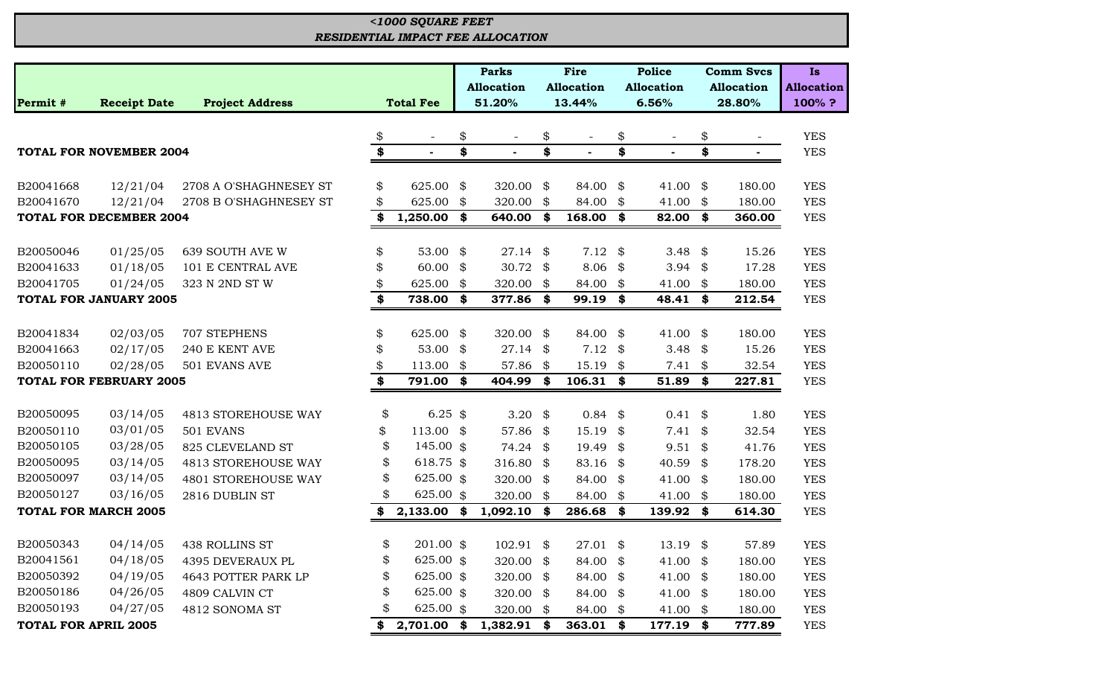# *RESIDENTIAL IMPACT FEE ALLOCATION <1000 SQUARE FEET*

|                             |                                               |                        |    |                  | <b>Parks</b>      |                            | Fire              | <b>Police</b>              |                   |                            | <b>Comm Svcs</b>  | <b>Is</b>         |
|-----------------------------|-----------------------------------------------|------------------------|----|------------------|-------------------|----------------------------|-------------------|----------------------------|-------------------|----------------------------|-------------------|-------------------|
|                             |                                               |                        |    |                  | <b>Allocation</b> |                            | <b>Allocation</b> |                            | <b>Allocation</b> |                            | <b>Allocation</b> | <b>Allocation</b> |
| Permit #                    | <b>Project Address</b><br><b>Receipt Date</b> |                        |    | <b>Total Fee</b> | 51.20%            |                            | 13.44%            |                            | 6.56%             |                            | 28.80%            | 100%?             |
|                             |                                               |                        |    |                  |                   |                            |                   |                            |                   |                            |                   |                   |
|                             |                                               |                        | \$ |                  | \$                | \$                         |                   | \$                         |                   | \$                         |                   | <b>YES</b>        |
|                             | <b>TOTAL FOR NOVEMBER 2004</b>                |                        | \$ |                  | \$                | \$                         |                   | \$                         |                   | \$                         |                   | <b>YES</b>        |
| B20041668                   | 12/21/04                                      | 2708 A O'SHAGHNESEY ST | \$ | 625.00           | \$<br>320.00      | \$                         | 84.00             | \$                         | 41.00             | \$                         | 180.00            | <b>YES</b>        |
| B20041670                   | 12/21/04                                      | 2708 B O'SHAGHNESEY ST | \$ | 625.00           | \$<br>320.00      | \$                         | 84.00             | \$                         | 41.00             | \$                         | 180.00            | <b>YES</b>        |
|                             | <b>TOTAL FOR DECEMBER 2004</b>                |                        | \$ | 1,250.00         | \$<br>640.00      | \$                         | 168.00            | \$                         | 82.00             | \$                         | 360.00            | <b>YES</b>        |
|                             |                                               |                        |    |                  |                   |                            |                   |                            |                   |                            |                   |                   |
| B20050046                   | 01/25/05                                      | 639 SOUTH AVE W        | \$ | 53.00            | \$<br>27.14       | $\boldsymbol{\mathcal{S}}$ | 7.12              | $\boldsymbol{\mathcal{S}}$ | 3.48              | \$                         | 15.26             | <b>YES</b>        |
| B20041633                   | 01/18/05                                      | 101 E CENTRAL AVE      | \$ | 60.00            | \$<br>30.72 $$$   |                            | 8.06              | $\frac{1}{2}$              | 3.94              | \$                         | 17.28             | <b>YES</b>        |
| B20041705                   | 01/24/05                                      | 323 N 2ND ST W         | \$ | 625.00           | \$<br>320.00      | $\frac{1}{2}$              | 84.00 \$          |                            | 41.00             | \$                         | 180.00            | <b>YES</b>        |
|                             | <b>TOTAL FOR JANUARY 2005</b>                 |                        | \$ | 738.00           | \$<br>377.86 \$   |                            | 99.19 \$          |                            | 48.41 \$          |                            | 212.54            | <b>YES</b>        |
|                             |                                               |                        |    |                  |                   |                            |                   |                            |                   |                            |                   |                   |
| B20041834                   | 02/03/05                                      | 707 STEPHENS           | \$ | 625.00           | \$<br>320.00      | $\boldsymbol{\mathcal{S}}$ | 84.00             | \$                         | 41.00             | \$                         | 180.00            | <b>YES</b>        |
| B20041663                   | 02/17/05                                      | 240 E KENT AVE         | \$ | 53.00            | \$<br>27.14       | \$                         | $7.12$ \$         |                            | 3.48              | \$                         | 15.26             | <b>YES</b>        |
| B20050110                   | 02/28/05                                      | 501 EVANS AVE          | \$ | 113.00           | \$<br>57.86       | \$                         | 15.19             | \$                         | 7.41              | \$                         | 32.54             | <b>YES</b>        |
|                             | <b>TOTAL FOR FEBRUARY 2005</b>                |                        | \$ | 791.00           | \$<br>404.99      | \$                         | 106.31            | \$                         | 51.89             | \$                         | 227.81            | <b>YES</b>        |
| B20050095                   | 03/14/05                                      | 4813 STOREHOUSE WAY    | \$ | 6.25 $$$         | 3.20              | \$                         | $0.84$ \$         |                            | 0.41              | \$                         | 1.80              | <b>YES</b>        |
| B20050110                   | 03/01/05                                      | 501 EVANS              | \$ | 113.00 \$        | 57.86             | $\boldsymbol{\mathcal{S}}$ | 15.19             | \$                         | 7.41              | $\boldsymbol{\mathcal{Z}}$ | 32.54             | <b>YES</b>        |
| B20050105                   | 03/28/05                                      | 825 CLEVELAND ST       | \$ | 145.00 \$        | 74.24             | $\mathfrak{B}$             | 19.49             | \$                         | 9.51              | \$                         | 41.76             | <b>YES</b>        |
| B20050095                   | 03/14/05                                      | 4813 STOREHOUSE WAY    | \$ | 618.75 \$        | 316.80            | \$                         | 83.16             | \$                         | 40.59             | \$                         | 178.20            | <b>YES</b>        |
| B20050097                   | 03/14/05                                      | 4801 STOREHOUSE WAY    | \$ | 625.00 \$        | 320.00 \$         |                            | 84.00             | \$                         | 41.00             | \$                         | 180.00            | <b>YES</b>        |
| B20050127                   | 03/16/05                                      | 2816 DUBLIN ST         | \$ | 625.00 \$        | 320.00            | \$                         | 84.00             | \$                         | 41.00             | \$                         | 180.00            | <b>YES</b>        |
|                             | <b>TOTAL FOR MARCH 2005</b>                   |                        |    | 2,133.00         | \$<br>1,092.10    | \$                         | 286.68            | \$                         | 139.92            | \$                         | 614.30            | <b>YES</b>        |
|                             |                                               |                        |    |                  |                   |                            |                   |                            |                   |                            |                   |                   |
| B20050343                   | 04/14/05                                      | 438 ROLLINS ST         | \$ | 201.00 \$        | $102.91$ \$       |                            | 27.01             | \$                         | 13.19             | \$                         | 57.89             | <b>YES</b>        |
| B20041561                   | 04/18/05                                      | 4395 DEVERAUX PL       | \$ | 625.00 \$        | 320.00            | $\frac{1}{2}$              | 84.00             | \$                         | 41.00             | \$                         | 180.00            | <b>YES</b>        |
| B20050392                   | 04/19/05                                      | 4643 POTTER PARK LP    | \$ | 625.00 \$        | 320.00 \$         |                            | 84.00             | \$                         | 41.00             | \$                         | 180.00            | <b>YES</b>        |
| B20050186                   | 04/26/05                                      | 4809 CALVIN CT         | \$ | 625.00 \$        | 320.00            | \$                         | 84.00             | \$                         | 41.00             | \$                         | 180.00            | <b>YES</b>        |
| B20050193                   | 04/27/05                                      | 4812 SONOMA ST         | \$ | 625.00 \$        | 320.00            | $\boldsymbol{\mathcal{S}}$ | 84.00             | \$                         | 41.00             | \$                         | 180.00            | <b>YES</b>        |
| <b>TOTAL FOR APRIL 2005</b> |                                               |                        | \$ | 2,701.00         | \$<br>1,382.91    | \$                         | 363.01            | \$                         | 177.19            | \$                         | 777.89            | <b>YES</b>        |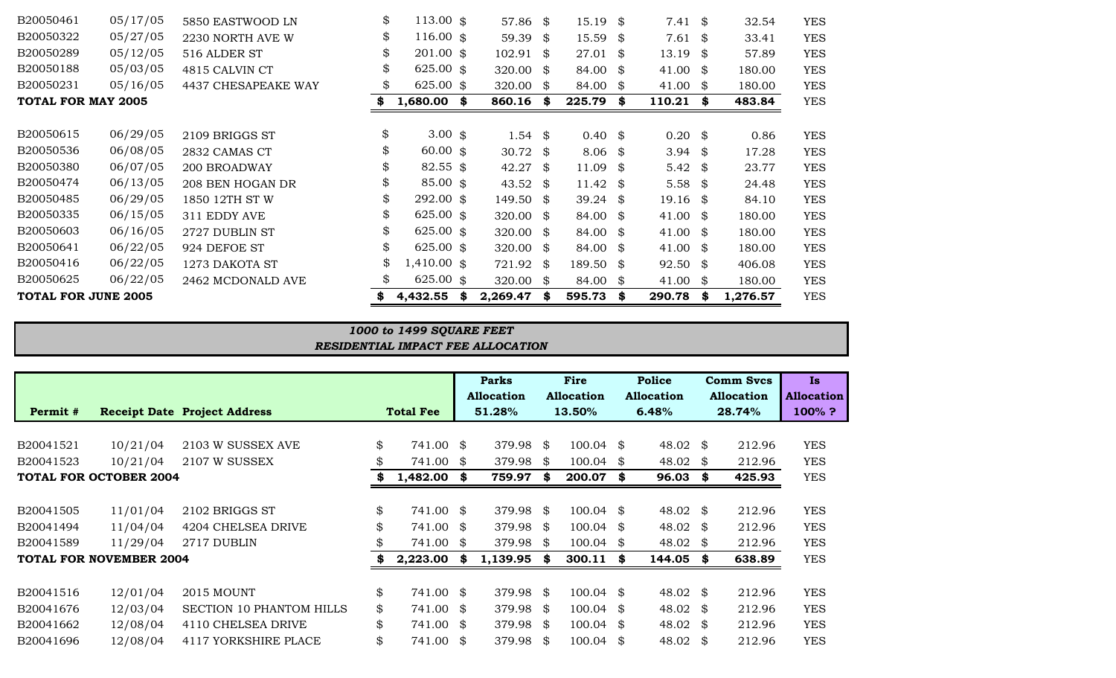| <b>TOTAL FOR JUNE 2005</b> |          |                     | 4,432.55                  | S   | 2,269.47            | \$  | 595.73              | \$   | 290.78             | \$   | 1,276.57 | <b>YES</b> |
|----------------------------|----------|---------------------|---------------------------|-----|---------------------|-----|---------------------|------|--------------------|------|----------|------------|
| B20050625                  | 06/22/05 | 2462 MCDONALD AVE   | \$<br>625.00 $$$          |     | 320.00              | \$  | 84.00               | \$   | 41.00              | - \$ | 180.00   | <b>YES</b> |
| B20050416                  | 06/22/05 | 1273 DAKOTA ST      | \$<br>$1,410.00$ \$       |     | 721.92              | \$  | 189.50 \$           |      | 92.50              | - \$ | 406.08   | <b>YES</b> |
| B20050641                  | 06/22/05 | 924 DEFOE ST        | \$<br>625.00 $$$          |     | 320.00 $$$          |     | 84.00 \$            |      | 41.00              | - \$ | 180.00   | <b>YES</b> |
| B20050603                  | 06/16/05 | 2727 DUBLIN ST      | \$<br>625.00 $$$          |     | 320.00 \$           |     | $84.00 \text{ }$ \$ |      | 41.00              | - \$ | 180.00   | <b>YES</b> |
| B20050335                  | 06/15/05 | 311 EDDY AVE        | \$<br>625.00 $$$          |     | 320.00 \$           |     | 84.00 \$            |      | 41.00              | - \$ | 180.00   | <b>YES</b> |
| B20050485                  | 06/29/05 | 1850 12TH ST W      | \$<br>292.00 \$           |     | 149.50 \$           |     | 39.24 \$            |      | $19.16$ \$         |      | 84.10    | <b>YES</b> |
| B20050474                  | 06/13/05 | 208 BEN HOGAN DR    | \$<br>$85.00 \text{ }$ \$ |     | 43.52 $\frac{1}{2}$ |     | 11.42 $\frac{1}{2}$ |      | 5.58 $$$           |      | 24.48    | <b>YES</b> |
| B20050380                  | 06/07/05 | 200 BROADWAY        | \$<br>$82.55$ \$          |     | 42.27 \$            |     | $11.09$ \$          |      | 5.42 $\frac{1}{2}$ |      | 23.77    | <b>YES</b> |
| B20050536                  | 06/08/05 | 2832 CAMAS CT       | \$<br>60.00~\$            |     | 30.72 \$            |     | $8.06$ \$           |      | 3.94 $$$           |      | 17.28    | <b>YES</b> |
| B20050615                  | 06/29/05 | 2109 BRIGGS ST      | \$<br>$3.00 \text{ }$ \$  |     | 1.54 $\frac{1}{9}$  |     | $0.40*$             |      | $0.20$ \$          |      | 0.86     | <b>YES</b> |
| TOTAL FOR MAY 2005         |          |                     | 1,680.00                  | SS. | 860.16              | \$  | 225.79              | \$   | $110.21$ \$        |      | 483.84   | <b>YES</b> |
| B20050231                  | 05/16/05 | 4437 CHESAPEAKE WAY | \$<br>625.00 $\text{\$}$  |     | 320.00              | -S  | 84.00               | - \$ | 41.00              | -\$  | 180.00   | <b>YES</b> |
| B20050188                  | 05/03/05 | 4815 CALVIN CT      | \$<br>625.00 $$$          |     | 320.00              | -\$ | $84.00 \text{ }$ \$ |      | 41.00              | - \$ | 180.00   | <b>YES</b> |
| B20050289                  | 05/12/05 | 516 ALDER ST        | \$<br>201.00~\$           |     | 102.91              | \$  | 27.01               | -SS  | 13.19              | - \$ | 57.89    | <b>YES</b> |
| B20050322                  | 05/27/05 | 2230 NORTH AVE W    | \$<br>116.00~\$           |     | 59.39               | S.  | 15.59               | - \$ | $7.61$ \$          |      | 33.41    | <b>YES</b> |
| B20050461                  | 05/17/05 | 5850 EASTWOOD LN    | \$<br>113.00~\$           |     | 57.86 \$            |     | $15.19$ \$          |      | $7.41 \&$          |      | 32.54    | <b>YES</b> |
|                            |          |                     |                           |     |                     |     |                     |      |                    |      |          |            |

# *RESIDENTIAL IMPACT FEE ALLOCATION 1000 to 1499 SQUARE FEET*

|           |                                |                                     |     |                  |    | <b>Parks</b>      | Fire |                      | <b>Police</b> |                     | <b>Comm Svcs</b>  | Is.               |
|-----------|--------------------------------|-------------------------------------|-----|------------------|----|-------------------|------|----------------------|---------------|---------------------|-------------------|-------------------|
|           |                                |                                     |     |                  |    | <b>Allocation</b> |      | <b>Allocation</b>    |               | <b>Allocation</b>   | <b>Allocation</b> | <b>Allocation</b> |
| Permit #  |                                | <b>Receipt Date Project Address</b> |     | <b>Total Fee</b> |    | 51.28%            |      | 13.50%               |               | 6.48%               | 28.74%            | $100\%$ ?         |
|           |                                |                                     |     |                  |    |                   |      |                      |               |                     |                   |                   |
| B20041521 | 10/21/04                       | 2103 W SUSSEX AVE                   | \$  | 741.00           | \$ | 379.98 \$         |      | $100.04 \text{ }$ \$ |               | 48.02 \$            | 212.96            | <b>YES</b>        |
| B20041523 | 10/21/04                       | 2107 W SUSSEX                       | \$. | 741.00           | \$ | 379.98 \$         |      | $100.04$ \$          |               | 48.02 $\frac{1}{2}$ | 212.96            | <b>YES</b>        |
|           | TOTAL FOR OCTOBER 2004         |                                     |     | 1,482.00         |    | 759.97            |      | 200.07               | - \$          | 96.03               | \$<br>425.93      | <b>YES</b>        |
|           |                                |                                     |     |                  |    |                   |      |                      |               |                     |                   |                   |
| B20041505 | 11/01/04                       | 2102 BRIGGS ST                      | \$  | 741.00 \$        |    | 379.98 \$         |      | $100.04 \text{ }$ \$ |               | 48.02 \$            | 212.96            | <b>YES</b>        |
| B20041494 | 11/04/04                       | 4204 CHELSEA DRIVE                  | \$  | 741.00           | \$ | 379.98 \$         |      | $100.04 \text{ }$ \$ |               | 48.02 \$            | 212.96            | <b>YES</b>        |
| B20041589 | 11/29/04                       | 2717 DUBLIN                         |     | 741.00           | \$ | 379.98 \$         |      | $100.04$ \$          |               | 48.02 \$            | 212.96            | <b>YES</b>        |
|           | <b>TOTAL FOR NOVEMBER 2004</b> |                                     |     | 2,223.00         | \$ | $1,139.95$ \$     |      | 300.11               | - \$          | 144.05 \$           | 638.89            | <b>YES</b>        |
|           |                                |                                     |     |                  |    |                   |      |                      |               |                     |                   |                   |
| B20041516 | 12/01/04                       | <b>2015 MOUNT</b>                   | \$  | 741.00 \$        |    | 379.98 \$         |      | $100.04 \text{ }$ \$ |               | 48.02 \$            | 212.96            | <b>YES</b>        |
| B20041676 | 12/03/04                       | <b>SECTION 10 PHANTOM HILLS</b>     | \$  | 741.00 \$        |    | 379.98 \$         |      | $100.04 \text{ }$ \$ |               | 48.02 \$            | 212.96            | <b>YES</b>        |
| B20041662 | 12/08/04                       | 4110 CHELSEA DRIVE                  | \$  | 741.00           | \$ | 379.98 \$         |      | $100.04$ \$          |               | 48.02 \$            | 212.96            | <b>YES</b>        |
| B20041696 | 12/08/04                       | 4117 YORKSHIRE PLACE                | \$  | 741.00           | \$ | 379.98 \$         |      | $100.04$ \$          |               | 48.02 \$            | 212.96            | <b>YES</b>        |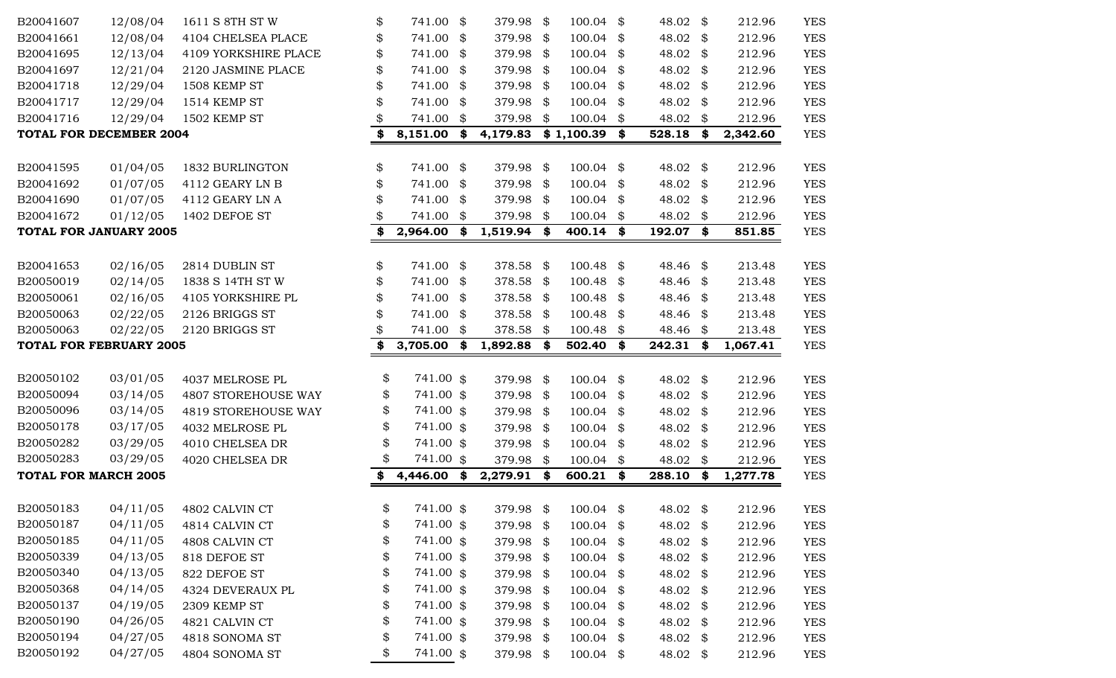| B20041607                   | 12/08/04                       | 1611 S 8TH ST W                  | \$       | 741.00                 | \$<br>379.98 \$        |      | 100.04           | \$       | 48.02                | \$<br>212.96     | <b>YES</b>               |
|-----------------------------|--------------------------------|----------------------------------|----------|------------------------|------------------------|------|------------------|----------|----------------------|------------------|--------------------------|
| B20041661                   | 12/08/04                       | 4104 CHELSEA PLACE               | \$       | 741.00                 | \$<br>379.98 \$        |      | 100.04           | \$       | 48.02                | \$<br>212.96     | <b>YES</b>               |
| B20041695                   | 12/13/04                       | 4109 YORKSHIRE PLACE             | \$       | 741.00                 | \$<br>379.98           | \$   | 100.04           | \$       | 48.02                | \$<br>212.96     | <b>YES</b>               |
| B20041697                   | 12/21/04                       | 2120 JASMINE PLACE               | \$       | 741.00                 | \$<br>379.98           | -\$  | 100.04           | \$       | 48.02                | \$<br>212.96     | <b>YES</b>               |
| B20041718                   | 12/29/04                       | 1508 KEMP ST                     | \$       | 741.00                 | \$<br>379.98           | -\$  | 100.04           | \$       | 48.02                | \$<br>212.96     | <b>YES</b>               |
| B20041717                   | 12/29/04                       | 1514 KEMP ST                     | \$       | 741.00                 | \$<br>379.98           | -\$  | 100.04           | \$       | 48.02                | \$<br>212.96     | <b>YES</b>               |
| B20041716                   | 12/29/04                       | 1502 KEMP ST                     |          | 741.00                 | \$<br>379.98           | \$   | 100.04           | \$       | 48.02                | \$<br>212.96     | <b>YES</b>               |
|                             | <b>TOTAL FOR DECEMBER 2004</b> |                                  | \$       | 8,151.00               | \$<br>4,179.83         |      | \$1,100.39       | \$       | 528.18               | \$<br>2,342.60   | <b>YES</b>               |
|                             |                                |                                  |          |                        |                        |      |                  |          |                      |                  |                          |
| B20041595                   | 01/04/05                       | 1832 BURLINGTON                  | \$       | 741.00                 | \$<br>379.98 \$        |      | 100.04           | \$       | 48.02                | \$<br>212.96     | <b>YES</b>               |
| B20041692                   | 01/07/05                       | 4112 GEARY LN B                  | \$       | 741.00                 | \$<br>379.98           | \$   | 100.04           | \$       | 48.02                | \$<br>212.96     | <b>YES</b>               |
| B20041690                   | 01/07/05                       | 4112 GEARY LN A                  |          | 741.00                 | \$<br>379.98           | \$   | 100.04           | \$       | 48.02                | \$<br>212.96     | <b>YES</b>               |
| B20041672                   | 01/12/05                       | 1402 DEFOE ST                    |          | 741.00                 | \$<br>379.98           | \$   | 100.04           | \$       | 48.02                | \$<br>212.96     | <b>YES</b>               |
|                             | <b>TOTAL FOR JANUARY 2005</b>  |                                  | \$       | 2,964.00               | \$<br>1,519.94 \$      |      | 400.14           | \$       | 192.07               | \$<br>851.85     | <b>YES</b>               |
|                             |                                |                                  |          |                        |                        |      |                  |          |                      |                  |                          |
| B20041653                   | 02/16/05                       | 2814 DUBLIN ST                   | \$       | 741.00                 | \$<br>378.58 \$        |      | 100.48           | \$       | 48.46 \$             | 213.48           | <b>YES</b>               |
| B20050019                   | 02/14/05                       | 1838 S 14TH ST W                 | \$       | 741.00                 | \$<br>378.58           | - \$ | 100.48           | \$       | 48.46 \$             | 213.48           | <b>YES</b>               |
| B20050061                   | 02/16/05                       | 4105 YORKSHIRE PL                | \$       | 741.00                 | \$<br>378.58 \$        |      | 100.48           | \$       | 48.46                | \$<br>213.48     | <b>YES</b>               |
| B20050063                   | 02/22/05                       | 2126 BRIGGS ST                   | \$       | 741.00                 | \$<br>378.58           | \$   | 100.48           | \$       | 48.46                | \$<br>213.48     | <b>YES</b>               |
| B20050063                   | 02/22/05                       | 2120 BRIGGS ST                   |          | 741.00                 | \$<br>378.58           | - \$ | 100.48           | \$       | 48.46                | \$<br>213.48     | <b>YES</b>               |
|                             |                                |                                  |          |                        |                        | -\$  |                  |          |                      |                  |                          |
|                             | <b>TOTAL FOR FEBRUARY 2005</b> |                                  | \$       | 3,705.00               | \$<br>1,892.88         |      | 502.40           | \$       | 242.31               | \$<br>1,067.41   | <b>YES</b>               |
|                             |                                |                                  |          |                        |                        |      |                  |          |                      |                  |                          |
| B20050102                   | 03/01/05                       | 4037 MELROSE PL                  | \$       | 741.00 \$              | 379.98                 | \$   | 100.04           | \$       | 48.02                | \$<br>212.96     | <b>YES</b>               |
| B20050094                   | 03/14/05                       | 4807 STOREHOUSE WAY              | \$       | 741.00 \$              | 379.98                 | \$   | 100.04           | \$       | 48.02                | \$<br>212.96     | <b>YES</b>               |
| B20050096                   | 03/14/05                       | 4819 STOREHOUSE WAY              | \$       | 741.00 \$              | 379.98                 | -\$  | 100.04           | \$       | 48.02                | \$<br>212.96     | <b>YES</b>               |
| B20050178                   | 03/17/05                       | 4032 MELROSE PL                  | \$       | 741.00 \$              | 379.98                 | -\$  | 100.04           | \$       | 48.02                | \$<br>212.96     | <b>YES</b>               |
| B20050282                   | 03/29/05                       | 4010 CHELSEA DR                  | \$       | 741.00 \$              | 379.98                 | \$   | 100.04           | \$       | 48.02                | \$<br>212.96     | <b>YES</b>               |
| B20050283                   | 03/29/05                       | 4020 CHELSEA DR                  | \$       | 741.00 \$              | 379.98                 | \$   | 100.04           | \$       | 48.02                | \$<br>212.96     | <b>YES</b>               |
| <b>TOTAL FOR MARCH 2005</b> |                                |                                  | \$       | 4,446.00               | \$<br>2,279.91         | \$   | 600.21           | \$       | 288.10               | \$<br>1,277.78   | <b>YES</b>               |
|                             |                                |                                  |          |                        |                        |      |                  |          |                      |                  |                          |
| B20050183                   | 04/11/05                       | 4802 CALVIN CT                   | \$       | 741.00 \$              | 379.98                 | \$   | 100.04           | \$       | 48.02 \$             | 212.96           | <b>YES</b>               |
| B20050187                   | 04/11/05                       | 4814 CALVIN CT                   | \$       | 741.00 \$              | 379.98                 | \$   | 100.04           | \$       | 48.02 \$             | 212.96           | <b>YES</b>               |
| B20050185                   | 04/11/05                       | 4808 CALVIN CT                   | \$       | 741.00 \$              | 379.98 \$              |      | 100.04           | \$       | 48.02 \$             | 212.96           | <b>YES</b>               |
| B20050339                   | 04/13/05                       | 818 DEFOE ST                     | \$       | 741.00 \$              | 379.98 \$              |      | 100.04           | \$       | 48.02 \$             | 212.96           | <b>YES</b>               |
| B20050340                   | 04/13/05                       | 822 DEFOE ST                     | \$       | 741.00 \$              | 379.98                 | -\$  | 100.04           | \$       | 48.02                | \$<br>212.96     | <b>YES</b>               |
| B20050368                   | 04/14/05                       | 4324 DEVERAUX PL                 | \$       | 741.00 \$              | 379.98 \$              |      | 100.04           | \$       | 48.02 \$             | 212.96           | <b>YES</b>               |
| B20050137                   | 04/19/05                       | 2309 KEMP ST                     | \$       | 741.00 \$              | 379.98                 | - \$ | 100.04           | \$       | 48.02 \$             | 212.96           | <b>YES</b>               |
| B20050190                   | 04/26/05                       | 4821 CALVIN CT                   | \$       | 741.00 \$              | 379.98 \$              |      | 100.04           | \$       | 48.02 \$             | 212.96           | <b>YES</b>               |
| B20050194<br>B20050192      | 04/27/05<br>04/27/05           | 4818 SONOMA ST<br>4804 SONOMA ST | \$<br>\$ | 741.00 \$<br>741.00 \$ | 379.98 \$<br>379.98 \$ |      | 100.04<br>100.04 | \$<br>\$ | 48.02 \$<br>48.02 \$ | 212.96<br>212.96 | <b>YES</b><br><b>YES</b> |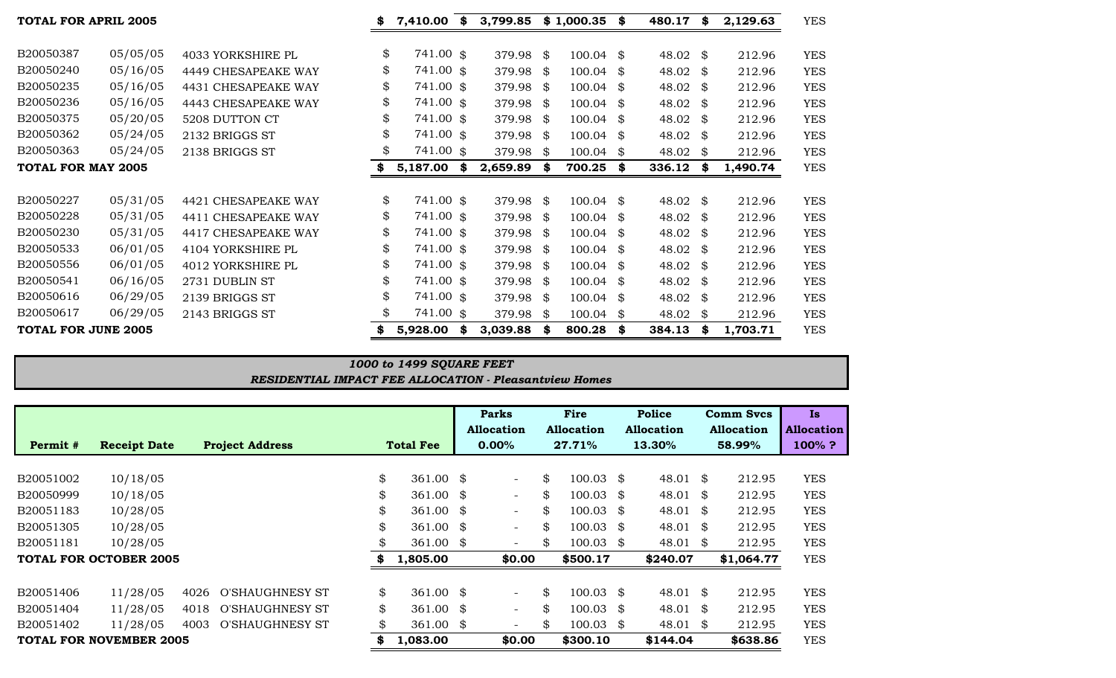|                    |                                                           | \$<br>7,410.00 | \$                                                                   | 3,799.85                                                                                                                                                                                        |                  |                                                                                                                                                                         | \$         | 480.17                                                                                                                         | \$  | 2,129.63       | <b>YES</b> |
|--------------------|-----------------------------------------------------------|----------------|----------------------------------------------------------------------|-------------------------------------------------------------------------------------------------------------------------------------------------------------------------------------------------|------------------|-------------------------------------------------------------------------------------------------------------------------------------------------------------------------|------------|--------------------------------------------------------------------------------------------------------------------------------|-----|----------------|------------|
| 05/05/05           | 4033 YORKSHIRE PL                                         |                |                                                                      |                                                                                                                                                                                                 | - \$             |                                                                                                                                                                         |            |                                                                                                                                | \$  | 212.96         | <b>YES</b> |
| 05/16/05           | 4449 CHESAPEAKE WAY                                       |                |                                                                      |                                                                                                                                                                                                 |                  |                                                                                                                                                                         | - \$       | 48.02                                                                                                                          | \$  | 212.96         | <b>YES</b> |
| 05/16/05           | 4431 CHESAPEAKE WAY                                       |                |                                                                      |                                                                                                                                                                                                 |                  | 100.04                                                                                                                                                                  | \$         | 48.02                                                                                                                          | \$  | 212.96         | <b>YES</b> |
| 05/16/05           | 4443 CHESAPEAKE WAY                                       |                |                                                                      |                                                                                                                                                                                                 |                  | 100.04                                                                                                                                                                  | \$         | 48.02                                                                                                                          | \$  | 212.96         | <b>YES</b> |
| 05/20/05           | 5208 DUTTON CT                                            |                |                                                                      |                                                                                                                                                                                                 |                  |                                                                                                                                                                         | - \$       | 48.02                                                                                                                          | \$  | 212.96         | <b>YES</b> |
| 05/24/05           | 2132 BRIGGS ST                                            |                |                                                                      |                                                                                                                                                                                                 |                  |                                                                                                                                                                         |            | 48.02                                                                                                                          | \$  | 212.96         | <b>YES</b> |
| 05/24/05           | 2138 BRIGGS ST                                            |                |                                                                      |                                                                                                                                                                                                 | - \$             |                                                                                                                                                                         |            | 48.02                                                                                                                          | \$  | 212.96         | <b>YES</b> |
| TOTAL FOR MAY 2005 |                                                           | \$<br>5,187.00 | \$                                                                   | 2,659.89                                                                                                                                                                                        | - \$             | 700.25                                                                                                                                                                  | \$         | 336.12                                                                                                                         | \$  | 1,490.74       | <b>YES</b> |
|                    |                                                           |                |                                                                      |                                                                                                                                                                                                 |                  |                                                                                                                                                                         |            |                                                                                                                                |     |                |            |
| 05/31/05           | 4421 CHESAPEAKE WAY                                       |                |                                                                      |                                                                                                                                                                                                 |                  |                                                                                                                                                                         |            |                                                                                                                                | \$  | 212.96         | <b>YES</b> |
| 05/31/05           | 4411 CHESAPEAKE WAY                                       |                |                                                                      |                                                                                                                                                                                                 |                  |                                                                                                                                                                         | - \$       | 48.02                                                                                                                          | \$  | 212.96         | <b>YES</b> |
| 05/31/05           | 4417 CHESAPEAKE WAY                                       |                |                                                                      |                                                                                                                                                                                                 |                  | 100.04                                                                                                                                                                  | -\$        | 48.02                                                                                                                          | \$  | 212.96         | <b>YES</b> |
| 06/01/05           | 4104 YORKSHIRE PL                                         |                |                                                                      |                                                                                                                                                                                                 |                  |                                                                                                                                                                         | - \$       | 48.02                                                                                                                          | \$  | 212.96         | <b>YES</b> |
| 06/01/05           | 4012 YORKSHIRE PL                                         |                |                                                                      |                                                                                                                                                                                                 |                  |                                                                                                                                                                         | - \$       | 48.02                                                                                                                          | SS. | 212.96         | <b>YES</b> |
| 06/16/05           | 2731 DUBLIN ST                                            |                |                                                                      |                                                                                                                                                                                                 |                  |                                                                                                                                                                         | - \$       | 48.02                                                                                                                          | \$  | 212.96         | <b>YES</b> |
| 06/29/05           | 2139 BRIGGS ST                                            |                |                                                                      |                                                                                                                                                                                                 |                  |                                                                                                                                                                         | - \$       | 48.02                                                                                                                          | \$  | 212.96         | <b>YES</b> |
| 06/29/05           | 2143 BRIGGS ST                                            |                |                                                                      |                                                                                                                                                                                                 | - \$             | 100.04                                                                                                                                                                  | \$         | 48.02                                                                                                                          | \$  | 212.96         | <b>YES</b> |
|                    |                                                           | \$<br>5,928.00 | S                                                                    | 3,039.88                                                                                                                                                                                        | \$               | 800.28                                                                                                                                                                  | \$         | 384.13                                                                                                                         | \$  | 1,703.71       | <b>YES</b> |
|                    | <b>TOTAL FOR APRIL 2005</b><br><b>TOTAL FOR JUNE 2005</b> | \$<br>\$<br>\$ | \$<br>\$<br>\$<br>\$<br>\$<br>\$<br>\$<br>\$<br>\$<br>\$<br>\$<br>\$ | 741.00 \$<br>741.00 \$<br>741.00 \$<br>741.00 \$<br>741.00 \$<br>741.00 \$<br>741.00 \$<br>741.00 \$<br>741.00 \$<br>741.00 \$<br>741.00 \$<br>741.00 \$<br>741.00 \$<br>741.00 \$<br>741.00 \$ | 379.98<br>379.98 | 379.98<br>379.98 \$<br>- \$<br>379.98 \$<br>379.98 \$<br>379.98 \$<br>379.98<br>379.98 \$<br>379.98 \$<br>379.98 \$<br>379.98 \$<br>379.98 \$<br>379.98 \$<br>379.98 \$ | \$1,000.35 | $100.04$ \$<br>100.04<br>100.04<br>$100.04$ \$<br>$100.04$ \$<br>$100.04$ \$<br>100.04<br>100.04<br>100.04<br>100.04<br>100.04 |     | 48.02<br>48.02 |            |

| 1000 to 1499 SQUARE FEET                                      |  |
|---------------------------------------------------------------|--|
| <b>RESIDENTIAL IMPACT FEE ALLOCATION - Pleasantview Homes</b> |  |

|           |                                |      |                        |                  |                    |  | <b>Parks</b>             |     | Fire                 | Police            |    | <b>Comm Svcs</b>  | Is.               |
|-----------|--------------------------------|------|------------------------|------------------|--------------------|--|--------------------------|-----|----------------------|-------------------|----|-------------------|-------------------|
|           |                                |      |                        |                  |                    |  | <b>Allocation</b>        |     | <b>Allocation</b>    | <b>Allocation</b> |    | <b>Allocation</b> | <b>Allocation</b> |
| Permit #  | <b>Receipt Date</b>            |      | <b>Project Address</b> | <b>Total Fee</b> |                    |  | $0.00\%$                 |     | 27.71%               | 13.30%            |    | 58.99%            | $100\%$ ?         |
|           |                                |      |                        |                  |                    |  |                          |     |                      |                   |    |                   |                   |
| B20051002 | 10/18/05                       |      |                        | \$               | 361.00 $\text{\$}$ |  | $\overline{\phantom{a}}$ | \$  | $100.03$ \$          | 48.01             | S. | 212.95            | <b>YES</b>        |
| B20050999 | 10/18/05                       |      |                        | \$               | $361.00$ \$        |  | $\overline{\phantom{a}}$ | \$  | $100.03$ \$          | 48.01             | \$ | 212.95            | <b>YES</b>        |
| B20051183 | 10/28/05                       |      |                        | \$               | 361.00 $\text{\$}$ |  | $\overline{\phantom{0}}$ | \$  | $100.03 \text{ }$ \$ | 48.01             | S. | 212.95            | <b>YES</b>        |
| B20051305 | 10/28/05                       |      |                        | \$               | $361.00$ \$        |  | $\overline{\phantom{0}}$ | \$  | $100.03$ \$          | 48.01             | S. | 212.95            | <b>YES</b>        |
| B20051181 | 10/28/05                       |      |                        | \$               | $361.00$ \$        |  |                          | \$. | $100.03$ \$          | 48.01             | \$ | 212.95            | <b>YES</b>        |
|           | <b>TOTAL FOR OCTOBER 2005</b>  |      |                        |                  | 1,805.00           |  | \$0.00                   |     | \$500.17             | \$240.07          |    | \$1,064.77        | <b>YES</b>        |
|           |                                |      |                        |                  |                    |  |                          |     |                      |                   |    |                   |                   |
| B20051406 | 11/28/05                       | 4026 | O'SHAUGHNESY ST        | \$               | 361.00 $\text{\$}$ |  | $\overline{\phantom{0}}$ | \$  | $100.03 \text{ }$ \$ | 48.01             | \$ | 212.95            | <b>YES</b>        |
| B20051404 | 11/28/05                       | 4018 | <b>O'SHAUGHNESY ST</b> | \$               | 361.00 $\text{\$}$ |  | $\equiv$                 | \$  | $100.03 \text{ }$ \$ | 48.01             | \$ | 212.95            | <b>YES</b>        |
| B20051402 | 11/28/05                       | 4003 | <b>O'SHAUGHNESY ST</b> | \$               | 361.00 $$$         |  |                          | \$  | $100.03$ \$          | 48.01 \$          |    | 212.95            | <b>YES</b>        |
|           | <b>TOTAL FOR NOVEMBER 2005</b> |      |                        | 1,083.00<br>S.   |                    |  | \$0.00                   |     | \$300.10             | \$144.04          |    | \$638.86          | <b>YES</b>        |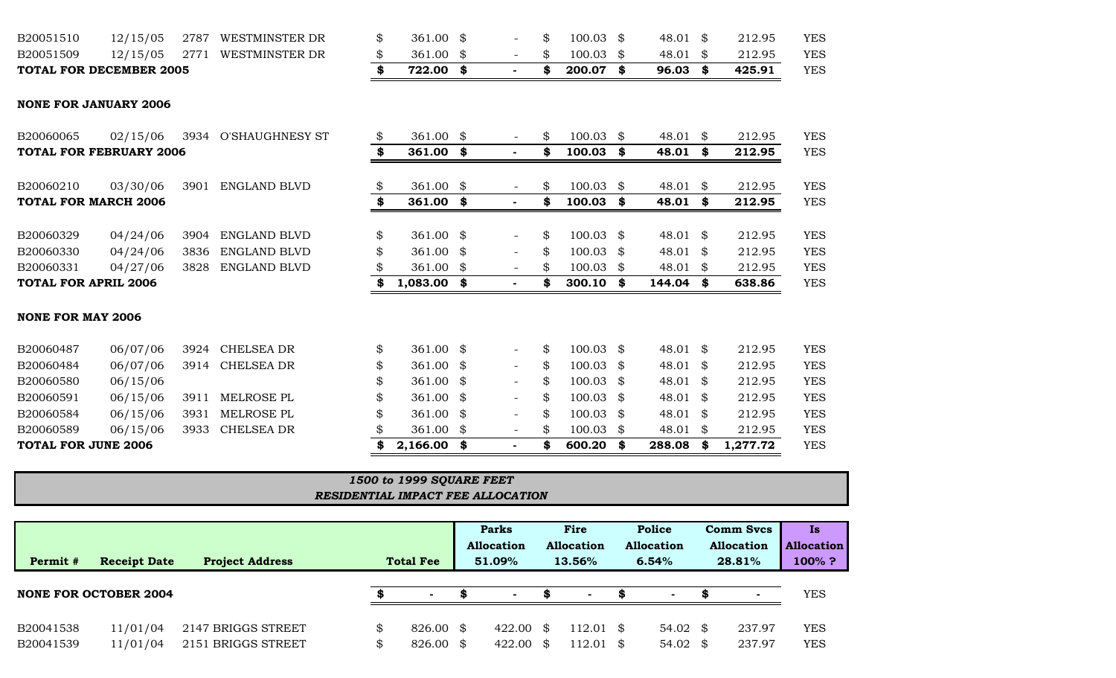| TOTAL FOR DECEMBER 2005 |          |      |                              | 722.00 |  | 200.07      | 96.03    | 425.91 | YES.       |
|-------------------------|----------|------|------------------------------|--------|--|-------------|----------|--------|------------|
| B20051509               |          |      | 12/15/05 2771 WESTMINSTER DR | 361.00 |  | $100.03$ \$ | 48.01 \$ | 212.95 | <b>YES</b> |
| B20051510               | 12/15/05 | 2787 | WESTMINSTER DR               | 361.00 |  | $100.03$ \$ | 48.01    | 212.95 | YES.       |

#### **NONE FOR JANUARY 2006**

| B20060065                      | 02/15/06 | 3934         | <b>O'SHAUGHNESY ST</b> | \$<br>361.00     | \$  | $\overline{\phantom{a}}$ | \$ | 100.03      | \$   | 48.01  | \$            | 212.95   | <b>YES</b> |
|--------------------------------|----------|--------------|------------------------|------------------|-----|--------------------------|----|-------------|------|--------|---------------|----------|------------|
| <b>TOTAL FOR FEBRUARY 2006</b> |          | \$<br>361.00 | \$                     | ٠                | \$  | $100.03$ \$              |    | 48.01       | \$   | 212.95 | <b>YES</b>    |          |            |
| B20060210                      | 03/30/06 | 3901         | ENGLAND BLVD           | \$<br>361.00     | \$  | $\overline{\phantom{a}}$ | \$ | $100.03$ \$ |      | 48.01  | \$            | 212.95   | <b>YES</b> |
| <b>TOTAL FOR MARCH 2006</b>    |          |              |                        | \$<br>361.00     | \$  | ۰.                       | \$ | 100.03      | - \$ | 48.01  | \$            | 212.95   | <b>YES</b> |
| B20060329                      | 04/24/06 | 3904         | <b>ENGLAND BLVD</b>    | \$<br>361.00 $$$ |     | $\overline{\phantom{0}}$ | \$ | $100.03$ \$ |      | 48.01  | \$            | 212.95   | <b>YES</b> |
| B20060330                      | 04/24/06 | 3836         | <b>ENGLAND BLVD</b>    | \$<br>361.00     | \$  | $\blacksquare$           | \$ | $100.03$ \$ |      | 48.01  | S.            | 212.95   | <b>YES</b> |
| B20060331                      | 04/27/06 | 3828         | ENGLAND BLVD           | 361.00           | \$  | $\overline{\phantom{a}}$ | S  | $100.03$ \$ |      | 48.01  | \$            | 212.95   | <b>YES</b> |
| <b>TOTAL FOR APRIL 2006</b>    |          |              |                        | 1,083.00         | \$  | $\blacksquare$           |    | 300.10      | \$   | 144.04 | \$            | 638.86   | <b>YES</b> |
| <b>NONE FOR MAY 2006</b>       |          |              |                        |                  |     |                          |    |             |      |        |               |          |            |
| B20060487                      | 06/07/06 | 3924         | CHELSEA DR             | \$<br>361.00     | -\$ |                          | \$ | $100.03$ \$ |      | 48.01  | -\$           | 212.95   | <b>YES</b> |
| B20060484                      | 06/07/06 | 3914         | <b>CHELSEA DR</b>      | \$<br>361.00     | \$  | $\overline{\phantom{0}}$ | \$ | $100.03$ \$ |      | 48.01  | \$            | 212.95   | <b>YES</b> |
| B20060580                      | 06/15/06 |              |                        | \$<br>361.00     | \$  | $\overline{\phantom{a}}$ |    | $100.03$ \$ |      | 48.01  | \$            | 212.95   | <b>YES</b> |
| B20060591                      | 06/15/06 | 3911         | MELROSE PL             | \$<br>361.00     | \$  | $\overline{\phantom{0}}$ |    | $100.03$ \$ |      | 48.01  | <sup>\$</sup> | 212.95   | <b>YES</b> |
| B20060584                      | 06/15/06 | 3931         | MELROSE PL             | \$<br>361.00     | \$  | $\overline{\phantom{a}}$ | \$ | $100.03$ \$ |      | 48.01  | \$            | 212.95   | <b>YES</b> |
| B20060589                      | 06/15/06 | 3933         | <b>CHELSEA DR</b>      | 361.00           | \$  | $\overline{\phantom{a}}$ | \$ | 100.03      | -\$  | 48.01  | \$            | 212.95   | <b>YES</b> |
| <b>TOTAL FOR JUNE 2006</b>     |          |              |                        | \$<br>2,166.00   | \$  |                          | S  | 600.20      | - \$ | 288.08 | \$            | 1,277.72 | <b>YES</b> |

| $\mid$ 1500 to 1999 SQUARE FEET   |  |
|-----------------------------------|--|
| RESIDENTIAL IMPACT FEE ALLOCATION |  |

|           |                              |                        |                  |        | <b>Parks</b> |                   | Fire |                   | <b>Police</b>     |      | <b>Comm Svcs</b>  | Is                |
|-----------|------------------------------|------------------------|------------------|--------|--------------|-------------------|------|-------------------|-------------------|------|-------------------|-------------------|
|           |                              |                        |                  |        |              | <b>Allocation</b> |      | <b>Allocation</b> | <b>Allocation</b> |      | <b>Allocation</b> | <b>Allocation</b> |
| Permit #  | <b>Receipt Date</b>          | <b>Project Address</b> | <b>Total Fee</b> |        |              | 51.09%            |      | 13.56%            | 6.54%             |      | 28.81%            | 100% ?            |
|           |                              |                        |                  |        |              |                   |      |                   |                   |      |                   |                   |
|           | <b>NONE FOR OCTOBER 2004</b> |                        |                  | $\sim$ |              | <b>CONTRACTOR</b> |      | $\sim$            | <b>COL</b>        |      |                   | YES               |
|           |                              |                        |                  |        |              |                   |      |                   |                   |      |                   |                   |
| B20041538 | 11/01/04                     | 2147 BRIGGS STREET     |                  | 826.00 | $\mathbb{S}$ | 422.00            | \$.  | 112.01 \$         | 54.02             | - SS | 237.97            | <b>YES</b>        |
| B20041539 | 11/01/04                     | 2151 BRIGGS STREET     |                  | 826.00 | - \$         | 422.00            | S    | $12.01$ \$        | 54.02             | \$.  | 237.97            | <b>YES</b>        |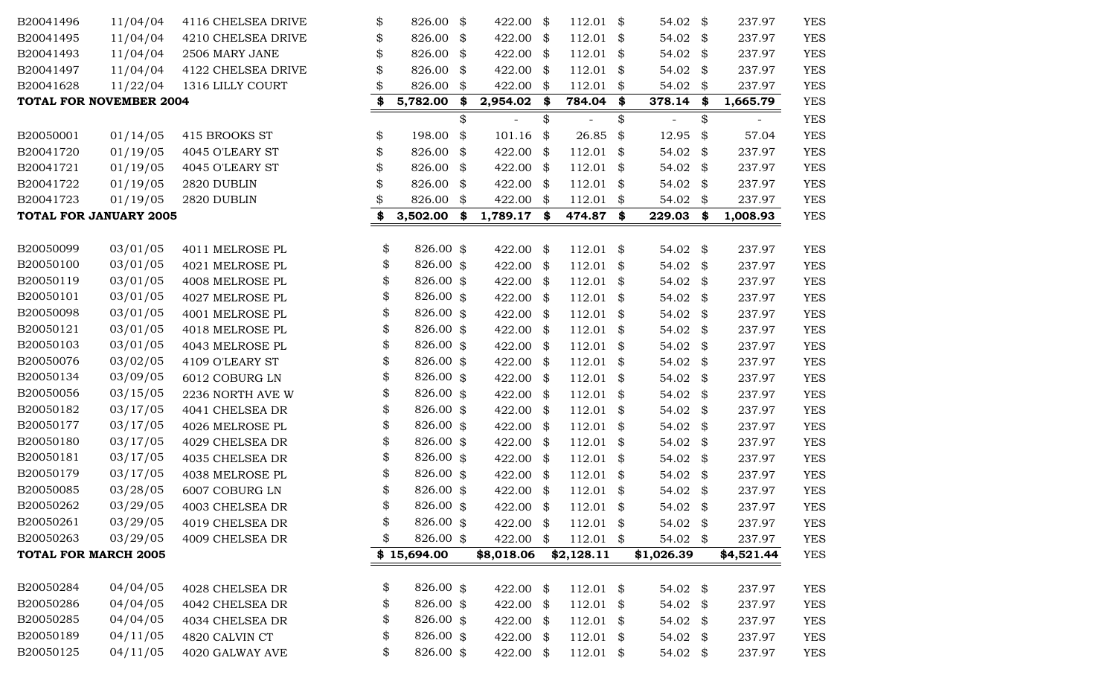| B20041496                   | 11/04/04                | 4116 CHELSEA DRIVE | \$<br>826.00    | \$<br>422.00      | \$            | 112.01      | \$   | 54.02      | \$       | 237.97           | <b>YES</b>               |
|-----------------------------|-------------------------|--------------------|-----------------|-------------------|---------------|-------------|------|------------|----------|------------------|--------------------------|
| B20041495                   | 11/04/04                | 4210 CHELSEA DRIVE | \$<br>826.00    | \$<br>422.00      | \$            | $112.01$ \$ |      | 54.02      | \$       | 237.97           | <b>YES</b>               |
| B20041493                   | 11/04/04                | 2506 MARY JANE     | \$<br>826.00    | \$<br>422.00      | \$            | 112.01      | \$   | 54.02      | \$       | 237.97           | <b>YES</b>               |
| B20041497                   | 11/04/04                | 4122 CHELSEA DRIVE | 826.00          | \$<br>422.00      | \$            | 112.01      | \$   | 54.02      | \$       | 237.97           | <b>YES</b>               |
| B20041628                   | 11/22/04                | 1316 LILLY COURT   | 826.00          | \$<br>422.00      | \$            | $112.01$ \$ |      | 54.02      | \$       | 237.97           | <b>YES</b>               |
|                             | TOTAL FOR NOVEMBER 2004 |                    | \$<br>5,782.00  | \$<br>2,954.02 \$ |               | 784.04 \$   |      | 378.14     | \$       | 1,665.79         | <b>YES</b>               |
|                             |                         |                    |                 | \$                | \$            |             | \$   |            | \$       |                  | <b>YES</b>               |
| B20050001                   | 01/14/05                | 415 BROOKS ST      | \$<br>198.00    | \$<br>101.16      | \$            | 26.85       | \$   | 12.95      | \$       | 57.04            | <b>YES</b>               |
| B20041720                   | 01/19/05                | 4045 O'LEARY ST    | \$<br>826.00    | \$<br>422.00      | \$            | 112.01      | - \$ | 54.02      | \$       | 237.97           | <b>YES</b>               |
| B20041721                   | 01/19/05                | 4045 O'LEARY ST    | \$<br>826.00    | \$<br>422.00      | \$            | $112.01$ \$ |      | 54.02      | \$       | 237.97           | <b>YES</b>               |
| B20041722                   | 01/19/05                | 2820 DUBLIN        | 826.00          | \$<br>422.00      | \$            | 112.01      | - \$ | 54.02      | \$       | 237.97           | <b>YES</b>               |
| B20041723                   | 01/19/05                | 2820 DUBLIN        | 826.00          | \$<br>422.00      | \$            | 112.01      | \$   | 54.02      | \$       | 237.97           | <b>YES</b>               |
|                             | TOTAL FOR JANUARY 2005  |                    | \$<br>3,502.00  | \$<br>1,789.17 \$ |               | 474.87 \$   |      | 229.03     | \$       | 1,008.93         | <b>YES</b>               |
| B20050099                   | 03/01/05                | 4011 MELROSE PL    | \$<br>826.00 \$ | 422.00            | \$            | $112.01$ \$ |      | 54.02      | \$       | 237.97           | <b>YES</b>               |
| B20050100                   | 03/01/05                | 4021 MELROSE PL    | \$<br>826.00 \$ | 422.00            | \$            | $112.01$ \$ |      | 54.02      | \$       | 237.97           | <b>YES</b>               |
| B20050119                   | 03/01/05                | 4008 MELROSE PL    | \$<br>826.00 \$ | 422.00            | \$            | $112.01$ \$ |      | 54.02      | \$       | 237.97           | <b>YES</b>               |
| B20050101                   | 03/01/05                | 4027 MELROSE PL    | \$<br>826.00 \$ | 422.00            | \$            | $112.01$ \$ |      | 54.02      | \$       | 237.97           | <b>YES</b>               |
| B20050098                   | 03/01/05                | 4001 MELROSE PL    | \$<br>826.00 \$ | 422.00            | \$            | $112.01$ \$ |      | 54.02      | \$       | 237.97           | <b>YES</b>               |
| B20050121                   | 03/01/05                | 4018 MELROSE PL    | \$<br>826.00 \$ | 422.00            | \$            | $112.01$ \$ |      | 54.02      | \$       | 237.97           | <b>YES</b>               |
| B20050103                   | 03/01/05                | 4043 MELROSE PL    | \$<br>826.00 \$ | 422.00            | $\frac{1}{2}$ | 112.01      | - \$ | 54.02      | \$       | 237.97           | <b>YES</b>               |
| B20050076                   | 03/02/05                | 4109 O'LEARY ST    | \$<br>826.00 \$ | 422.00            | \$            | $112.01$ \$ |      | 54.02      | \$       | 237.97           | <b>YES</b>               |
| B20050134                   | 03/09/05                | 6012 COBURG LN     | \$<br>826.00 \$ | 422.00            | \$            | $112.01$ \$ |      | 54.02      | \$       | 237.97           | <b>YES</b>               |
| B20050056                   | 03/15/05                | 2236 NORTH AVE W   | \$<br>826.00 \$ | 422.00            | \$            | 112.01      | - \$ | 54.02      | \$       | 237.97           | <b>YES</b>               |
| B20050182                   | 03/17/05                | 4041 CHELSEA DR    | \$<br>826.00 \$ | 422.00            | \$            | 112.01      | - \$ | 54.02      | \$       | 237.97           | <b>YES</b>               |
| B20050177                   | 03/17/05                | 4026 MELROSE PL    | \$<br>826.00 \$ | 422.00            | \$            | 112.01      | \$   | 54.02      | \$       | 237.97           | <b>YES</b>               |
| B20050180                   | 03/17/05                | 4029 CHELSEA DR    | \$<br>826.00 \$ | 422.00            | \$            | 112.01      | \$   | 54.02      | \$       | 237.97           | <b>YES</b>               |
| B20050181                   | 03/17/05                | 4035 CHELSEA DR    | \$<br>826.00 \$ | 422.00            | \$            | $112.01$ \$ |      | 54.02      | \$       | 237.97           | <b>YES</b>               |
| B20050179                   | 03/17/05                | 4038 MELROSE PL    | \$<br>826.00 \$ | 422.00            | \$            | 112.01      | \$   | 54.02      | \$       | 237.97           | <b>YES</b>               |
| B20050085                   | 03/28/05                | 6007 COBURG LN     | \$<br>826.00 \$ | 422.00            | \$            | 112.01      | \$   | 54.02      | \$       | 237.97           | <b>YES</b>               |
| B20050262                   | 03/29/05                | 4003 CHELSEA DR    | \$<br>826.00 \$ | 422.00            | \$            | 112.01      | \$   | 54.02      | \$       | 237.97           | <b>YES</b>               |
| B20050261                   | 03/29/05                | 4019 CHELSEA DR    | \$<br>826.00 \$ | 422.00 \$         |               | $112.01$ \$ |      | 54.02      | \$       | 237.97           | <b>YES</b>               |
| B20050263                   | 03/29/05                | 4009 CHELSEA DR    | \$<br>826.00 \$ | 422.00            | \$            | $112.01$ \$ |      | 54.02 \$   |          | 237.97           | <b>YES</b>               |
| <b>TOTAL FOR MARCH 2005</b> |                         |                    | \$15,694.00     | \$8,018.06        |               | \$2,128.11  |      | \$1,026.39 |          | \$4,521.44       | <b>YES</b>               |
| B20050284                   | 04/04/05                | 4028 CHELSEA DR    | \$<br>826.00 \$ | 422.00 \$         |               | $112.01$ \$ |      | 54.02      | \$       | 237.97           | <b>YES</b>               |
| B20050286                   | 04/04/05                | 4042 CHELSEA DR    | \$<br>826.00 \$ | 422.00 \$         |               | $112.01$ \$ |      | 54.02      |          |                  |                          |
| B20050285                   | 04/04/05                | 4034 CHELSEA DR    | \$<br>826.00 \$ | 422.00 \$         |               | $112.01$ \$ |      | 54.02      | \$<br>\$ | 237.97<br>237.97 | <b>YES</b><br><b>YES</b> |
| B20050189                   | 04/11/05                | 4820 CALVIN CT     | \$<br>826.00 \$ | 422.00 \$         |               | $112.01$ \$ |      | 54.02      |          | 237.97           | <b>YES</b>               |
| B20050125                   | 04/11/05                |                    | \$<br>826.00 \$ |                   |               |             |      |            | \$       |                  |                          |
|                             |                         | 4020 GALWAY AVE    |                 | 422.00 \$         |               | $112.01$ \$ |      | 54.02 \$   |          | 237.97           | <b>YES</b>               |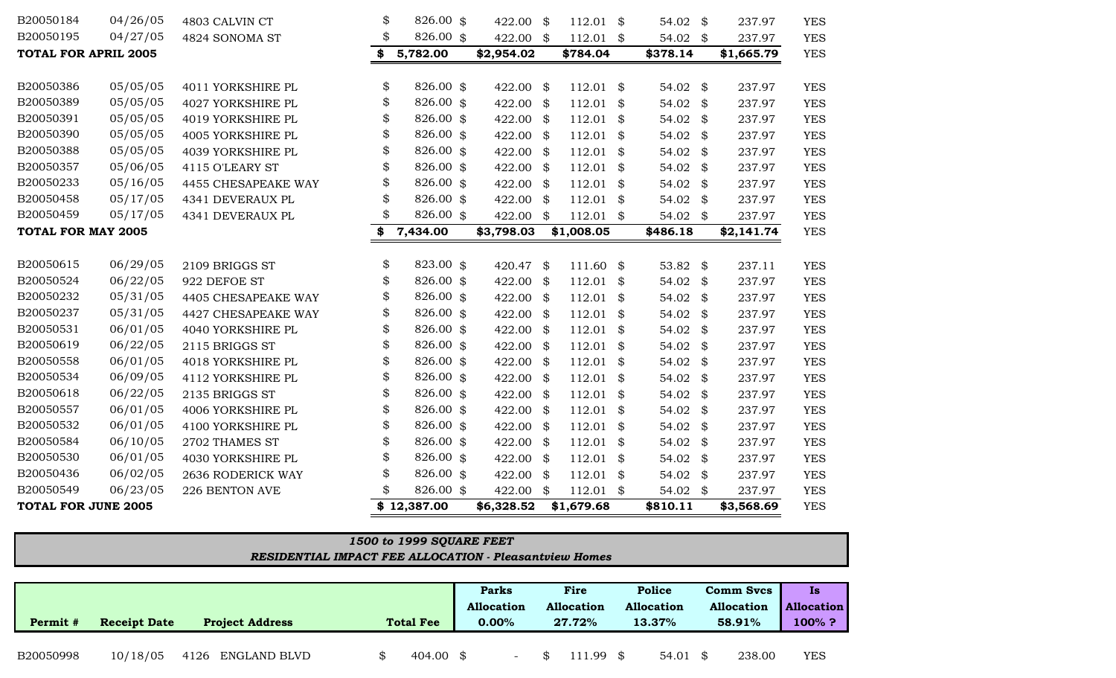|           |                     |                        |                  | <b>Parks</b>             |                   | Fire   |      | Police            | <b>Comm Svcs</b>  | Is                |
|-----------|---------------------|------------------------|------------------|--------------------------|-------------------|--------|------|-------------------|-------------------|-------------------|
|           |                     |                        |                  | <b>Allocation</b>        | <b>Allocation</b> |        |      | <b>Allocation</b> | <b>Allocation</b> | <b>Allocation</b> |
| Permit #  | <b>Receipt Date</b> | <b>Project Address</b> | <b>Total Fee</b> | $0.00\%$                 | 27.72%            |        |      | 13.37%            | 58.91%            | 100%?             |
|           |                     |                        |                  |                          |                   |        |      |                   |                   |                   |
| B20050998 | 10/18/05            | 4126 ENGLAND BLVD      | 404.00 \$        | $\overline{\phantom{0}}$ |                   | 111.99 | - \$ | 54.01             | 238.00            | <b>YES</b>        |

# *RESIDENTIAL IMPACT FEE ALLOCATION - Pleasantview Homes 1500 to 1999 SQUARE FEET*

| B20050195                   | 04/27/05 | 4824 SONOMA ST      | \$<br>826.00 \$ | 422.00     | \$   | $112.01$ \$ |      | 54.02 \$ | 237.97       | <b>YES</b> |
|-----------------------------|----------|---------------------|-----------------|------------|------|-------------|------|----------|--------------|------------|
| <b>TOTAL FOR APRIL 2005</b> |          |                     | \$<br>5,782.00  | \$2,954.02 |      | \$784.04    |      | \$378.14 | \$1,665.79   | <b>YES</b> |
| B20050386                   | 05/05/05 | 4011 YORKSHIRE PL   | \$<br>826.00 \$ | 422.00 \$  |      | $112.01$ \$ |      | 54.02 \$ | 237.97       | <b>YES</b> |
| B20050389                   | 05/05/05 | 4027 YORKSHIRE PL   | \$<br>826.00 \$ | 422.00 \$  |      | $112.01$ \$ |      | 54.02 \$ | 237.97       | <b>YES</b> |
| B20050391                   | 05/05/05 | 4019 YORKSHIRE PL   | \$<br>826.00 \$ | 422.00 \$  |      | 112.01      | \$   | 54.02 \$ | 237.97       | <b>YES</b> |
| B20050390                   | 05/05/05 | 4005 YORKSHIRE PL   | \$<br>826.00 \$ | 422.00     | - \$ | 112.01      | -\$  | 54.02    | \$<br>237.97 | <b>YES</b> |
| B20050388                   | 05/05/05 | 4039 YORKSHIRE PL   | 826.00 \$       | 422.00 \$  |      | 112.01      | \$   | 54.02 \$ | 237.97       | <b>YES</b> |
| B20050357                   | 05/06/05 | 4115 O'LEARY ST     | \$<br>826.00 \$ | 422.00 \$  |      | 112.01      | \$   | 54.02    | \$<br>237.97 | <b>YES</b> |
| B20050233                   | 05/16/05 | 4455 CHESAPEAKE WAY | \$<br>826.00 \$ | 422.00 \$  |      | 112.01      | \$   | 54.02 \$ | 237.97       | <b>YES</b> |
| B20050458                   | 05/17/05 | 4341 DEVERAUX PL    | 826.00 \$       | 422.00     | \$   | 112.01      | \$   | 54.02    | \$<br>237.97 | <b>YES</b> |
| B20050459                   | 05/17/05 | 4341 DEVERAUX PL    | 826.00 \$       | 422.00     | \$   | $112.01$ \$ |      | 54.02 \$ | 237.97       | <b>YES</b> |
| <b>TOTAL FOR MAY 2005</b>   |          |                     | \$<br>7,434.00  | \$3,798.03 |      | \$1,008.05  |      | \$486.18 | \$2,141.74   | <b>YES</b> |
|                             |          |                     |                 |            |      |             |      |          |              |            |
| B20050615                   | 06/29/05 | 2109 BRIGGS ST      | \$<br>823.00 \$ | 420.47 \$  |      | $111.60$ \$ |      | 53.82 \$ | 237.11       | <b>YES</b> |
| B20050524                   | 06/22/05 | 922 DEFOE ST        | \$<br>826.00 \$ | 422.00 \$  |      | $112.01$ \$ |      | 54.02 \$ | 237.97       | <b>YES</b> |
| B20050232                   | 05/31/05 | 4405 CHESAPEAKE WAY | \$<br>826.00 \$ | 422.00 \$  |      | $112.01$ \$ |      | 54.02 \$ | 237.97       | <b>YES</b> |
| B20050237                   | 05/31/05 | 4427 CHESAPEAKE WAY | \$<br>826.00 \$ | 422.00 \$  |      | 112.01      | \$   | 54.02 \$ | 237.97       | <b>YES</b> |
| B20050531                   | 06/01/05 | 4040 YORKSHIRE PL   | \$<br>826.00 \$ | 422.00 \$  |      | 112.01      | \$   | 54.02 \$ | 237.97       | <b>YES</b> |
| B20050619                   | 06/22/05 | 2115 BRIGGS ST      | \$<br>826.00 \$ | 422.00 \$  |      | 112.01      | \$   | 54.02 \$ | 237.97       | <b>YES</b> |
| B20050558                   | 06/01/05 | 4018 YORKSHIRE PL   | \$<br>826.00 \$ | 422.00 \$  |      | $112.01$ \$ |      | 54.02 \$ | 237.97       | <b>YES</b> |
| B20050534                   | 06/09/05 | 4112 YORKSHIRE PL   | \$<br>826.00 \$ | 422.00 \$  |      | 112.01      | \$   | 54.02 \$ | 237.97       | <b>YES</b> |
| B20050618                   | 06/22/05 | 2135 BRIGGS ST      | \$<br>826.00 \$ | 422.00 \$  |      | 112.01      | \$   | 54.02 \$ | 237.97       | <b>YES</b> |
| B20050557                   | 06/01/05 | 4006 YORKSHIRE PL   | \$<br>826.00 \$ | 422.00 \$  |      | 112.01      | \$   | 54.02 \$ | 237.97       | <b>YES</b> |
| B20050532                   | 06/01/05 | 4100 YORKSHIRE PL   | \$<br>826.00 \$ | 422.00 \$  |      | $112.01$ \$ |      | 54.02 \$ | 237.97       | <b>YES</b> |
| B20050584                   | 06/10/05 | 2702 THAMES ST      | \$<br>826.00 \$ | 422.00     | -\$  | 112.01      | \$   | 54.02 \$ | 237.97       | <b>YES</b> |
| B20050530                   | 06/01/05 | 4030 YORKSHIRE PL   | 826.00 \$       | 422.00 \$  |      | 112.01      | \$   | 54.02 \$ | 237.97       | <b>YES</b> |
| B20050436                   | 06/02/05 | 2636 RODERICK WAY   | 826.00 \$       | 422.00     | - \$ | 112.01      | - \$ | 54.02 \$ | 237.97       | <b>YES</b> |
| B20050549                   | 06/23/05 | 226 BENTON AVE      | 826.00 \$       | 422.00     | \$   | $112.01$ \$ |      | 54.02 \$ | 237.97       | <b>YES</b> |
| <b>TOTAL FOR JUNE 2005</b>  |          |                     | \$12,387.00     | \$6,328.52 |      | \$1,679.68  |      | \$810.11 | \$3,568.69   | <b>YES</b> |

B20050184 04/26/05 4803 CALVIN CT \$ 826.00 \$ 422.00 \$ 112.01 \$ 54.02 \$ 237.97 YES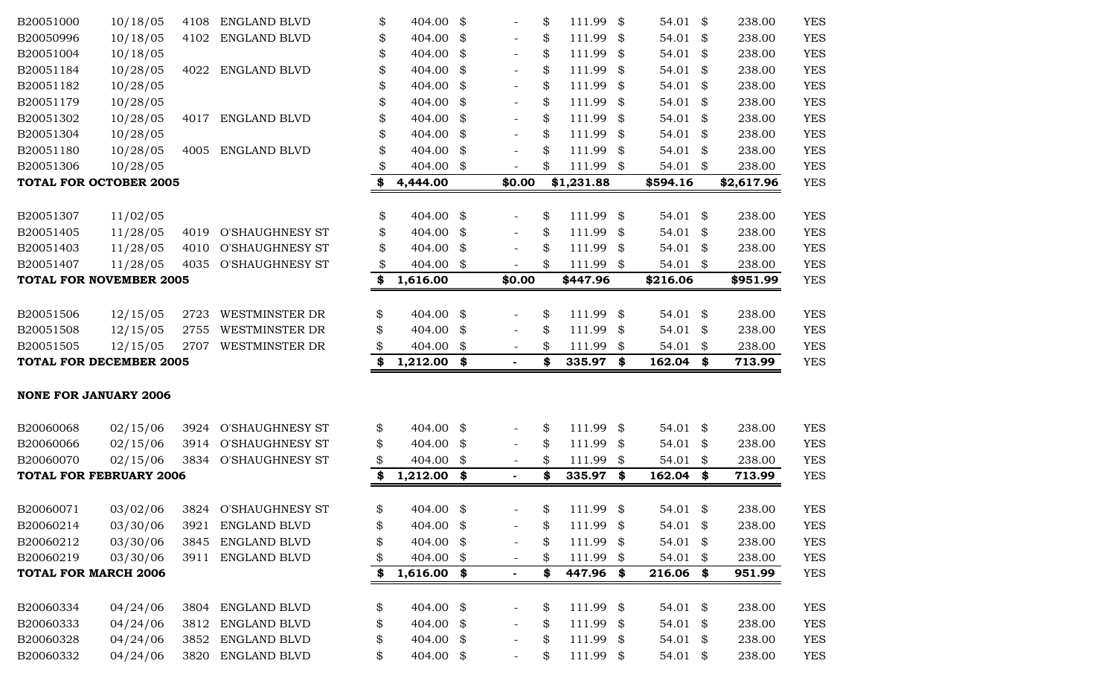| B20051000                      | 10/18/05 | 4108 | <b>ENGLAND BLVD</b>    | \$<br>404.00        | \$<br>$\overline{\phantom{a}}$ | \$<br>111.99    | \$<br>54.01 \$            | 238.00       | <b>YES</b> |
|--------------------------------|----------|------|------------------------|---------------------|--------------------------------|-----------------|---------------------------|--------------|------------|
| B20050996                      | 10/18/05 | 4102 | ENGLAND BLVD           | \$<br>404.00        | \$                             | \$<br>111.99    | \$<br>54.01               | \$<br>238.00 | <b>YES</b> |
| B20051004                      | 10/18/05 |      |                        | \$<br>404.00        | \$                             | \$<br>111.99    | \$<br>54.01               | \$<br>238.00 | <b>YES</b> |
| B20051184                      | 10/28/05 | 4022 | <b>ENGLAND BLVD</b>    | \$<br>404.00        | \$                             | \$<br>111.99    | \$<br>54.01               | \$<br>238.00 | <b>YES</b> |
| B20051182                      | 10/28/05 |      |                        | \$<br>404.00        | \$                             | \$<br>111.99    | \$<br>54.01               | \$<br>238.00 | <b>YES</b> |
| B20051179                      | 10/28/05 |      |                        | \$<br>404.00        | \$<br>$\overline{\phantom{a}}$ | \$<br>111.99    | \$<br>54.01               | \$<br>238.00 | <b>YES</b> |
| B20051302                      | 10/28/05 | 4017 | <b>ENGLAND BLVD</b>    | \$<br>404.00        | \$<br>$\overline{\phantom{a}}$ | \$<br>111.99    | \$<br>54.01               | \$<br>238.00 | <b>YES</b> |
| B20051304                      | 10/28/05 |      |                        | \$<br>404.00        | \$                             | \$<br>111.99    | \$<br>54.01               | \$<br>238.00 | <b>YES</b> |
| B20051180                      | 10/28/05 | 4005 | ENGLAND BLVD           | \$<br>404.00        | \$                             | \$<br>111.99    | \$<br>54.01               | \$<br>238.00 | <b>YES</b> |
| B20051306                      | 10/28/05 |      |                        | \$<br>404.00        | \$                             | \$<br>111.99    | \$<br>54.01               | \$<br>238.00 | <b>YES</b> |
| <b>TOTAL FOR OCTOBER 2005</b>  |          |      |                        | \$<br>4,444.00      | \$0.00                         | \$1,231.88      | \$594.16                  | \$2,617.96   | <b>YES</b> |
| B20051307                      | 11/02/05 |      |                        | \$<br>404.00        | \$                             | \$<br>111.99    | \$<br>54.01               | \$<br>238.00 | <b>YES</b> |
| B20051405                      | 11/28/05 | 4019 | <b>O'SHAUGHNESY ST</b> | \$<br>404.00        | \$                             | \$<br>111.99    | \$<br>54.01               | \$<br>238.00 | <b>YES</b> |
| B20051403                      | 11/28/05 | 4010 | <b>O'SHAUGHNESY ST</b> | \$<br>404.00        | \$                             | \$<br>111.99    | \$<br>54.01               | \$<br>238.00 | <b>YES</b> |
| B20051407                      | 11/28/05 | 4035 | <b>O'SHAUGHNESY ST</b> | \$<br>404.00        | \$                             | \$<br>111.99    | \$<br>54.01               | \$<br>238.00 | <b>YES</b> |
| <b>TOTAL FOR NOVEMBER 2005</b> |          |      |                        | \$<br>1,616.00      | \$0.00                         | \$447.96        | \$216.06                  | \$951.99     | <b>YES</b> |
|                                |          |      |                        |                     |                                |                 |                           |              |            |
| B20051506                      | 12/15/05 | 2723 | <b>WESTMINSTER DR</b>  | \$<br>404.00        | \$<br>$\overline{\phantom{a}}$ | \$<br>111.99    | \$<br>54.01               | \$<br>238.00 | <b>YES</b> |
| B20051508                      | 12/15/05 | 2755 | <b>WESTMINSTER DR</b>  | \$<br>404.00        | \$                             | \$<br>111.99    | \$<br>54.01               | \$<br>238.00 | <b>YES</b> |
| B20051505                      | 12/15/05 | 2707 | <b>WESTMINSTER DR</b>  | 404.00              | \$                             | \$<br>111.99    | \$<br>54.01               | \$<br>238.00 | <b>YES</b> |
| <b>TOTAL FOR DECEMBER 2005</b> |          |      |                        | \$<br>$1,212.00$ \$ |                                | \$<br>335.97    | \$<br>162.04              | \$<br>713.99 | <b>YES</b> |
|                                |          |      |                        |                     |                                |                 |                           |              |            |
| <b>NONE FOR JANUARY 2006</b>   |          |      |                        |                     |                                |                 |                           |              |            |
| B20060068                      | 02/15/06 | 3924 | <b>O'SHAUGHNESY ST</b> | \$<br>404.00        | \$                             | \$<br>111.99    | \$<br>54.01               | \$<br>238.00 | <b>YES</b> |
| B20060066                      | 02/15/06 | 3914 | <b>O'SHAUGHNESY ST</b> | \$<br>404.00        | \$                             | \$<br>111.99    | \$<br>54.01               | \$<br>238.00 | <b>YES</b> |
| B20060070                      | 02/15/06 | 3834 | <b>O'SHAUGHNESY ST</b> | 404.00              | \$<br>$\overline{\phantom{a}}$ | \$<br>111.99    | \$<br>54.01               | \$<br>238.00 | <b>YES</b> |
| <b>TOTAL FOR FEBRUARY 2006</b> |          |      |                        | \$<br>$1,212.00$ \$ | $\frac{1}{2}$                  | \$<br>335.97    | \$<br>162.04              | \$<br>713.99 | <b>YES</b> |
| B20060071                      | 03/02/06 |      | 3824 O'SHAUGHNESY ST   | \$<br>404.00 \$     |                                | \$<br>111.99    | \$<br>54.01               | \$<br>238.00 | <b>YES</b> |
| B20060214                      | 03/30/06 | 3921 | ENGLAND BLVD           | \$<br>404.00        | \$                             | \$<br>111.99 \$ | $54.01$ \$                | 238.00       | <b>YES</b> |
| B20060212                      | 03/30/06 | 3845 | ENGLAND BLVD           | 404.00              | \$                             | \$<br>111.99    | \$<br>54.01<br>- \$       | 238.00       | <b>YES</b> |
| B20060219                      | 03/30/06 | 3911 | ENGLAND BLVD           | 404.00              | \$                             | \$<br>111.99    | \$<br>54.01               | \$<br>238.00 | <b>YES</b> |
| <b>TOTAL FOR MARCH 2006</b>    |          |      |                        | \$<br>$1,616.00$ \$ | $\blacksquare$                 | \$<br>447.96    | \$<br>216.06              | \$<br>951.99 | <b>YES</b> |
|                                |          |      |                        |                     |                                |                 |                           |              |            |
| B20060334                      | 04/24/06 | 3804 | ENGLAND BLVD           | \$<br>404.00 \$     |                                | \$<br>111.99    | \$<br>54.01 \$            | 238.00       | <b>YES</b> |
| B20060333                      | 04/24/06 | 3812 | ENGLAND BLVD           | \$<br>404.00 \$     |                                | \$<br>111.99    | \$<br>54.01 $\frac{1}{2}$ | 238.00       | <b>YES</b> |
| B20060328                      | 04/24/06 | 3852 | ENGLAND BLVD           | \$<br>404.00 \$     |                                | \$<br>111.99    | \$<br>54.01 \$            | 238.00       | <b>YES</b> |
| B20060332                      | 04/24/06 | 3820 | ENGLAND BLVD           | \$<br>404.00 \$     |                                | \$<br>111.99 \$ | 54.01 \$                  | 238.00       | <b>YES</b> |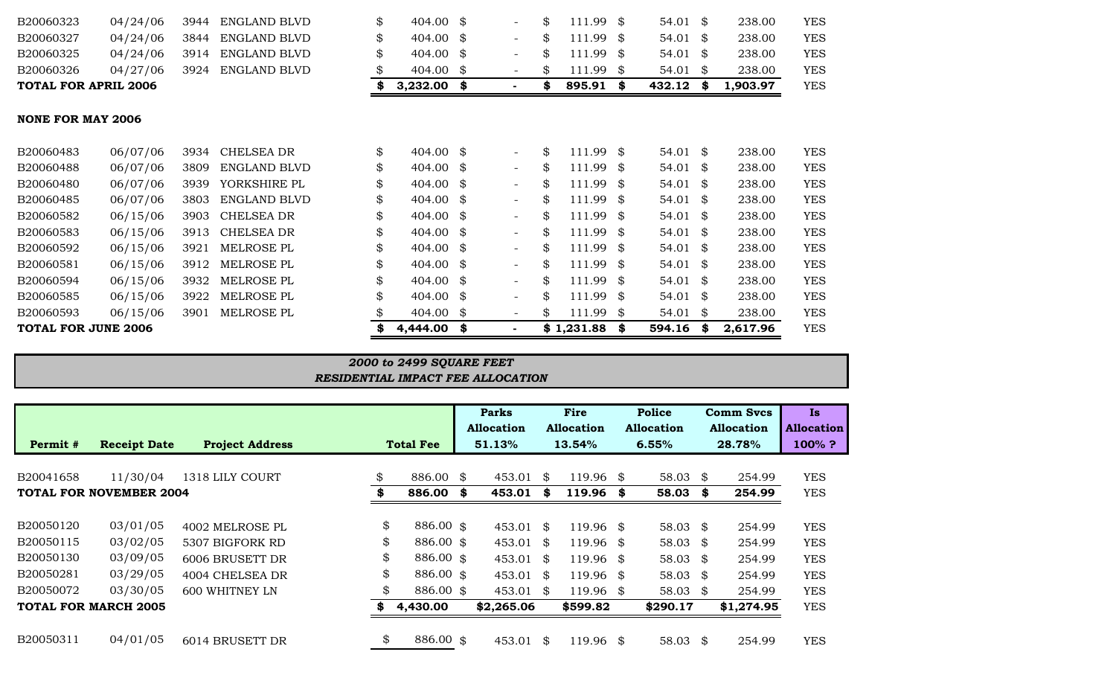| <b>TOTAL FOR APRIL 2006</b> |          |      |                     |    | 3,232.00           | \$                       | \$<br>895.91 | \$   | 432.12 | S.   | 1,903.97 | <b>YES</b> |
|-----------------------------|----------|------|---------------------|----|--------------------|--------------------------|--------------|------|--------|------|----------|------------|
| <b>NONE FOR MAY 2006</b>    |          |      |                     |    |                    |                          |              |      |        |      |          |            |
| B20060483                   | 06/07/06 | 3934 | <b>CHELSEA DR</b>   | \$ | 404.00 $\text{\$}$ | $\overline{\phantom{0}}$ | \$<br>111.99 | -86  | 54.01  | S.   | 238.00   | <b>YES</b> |
| B20060488                   | 06/07/06 | 3809 | <b>ENGLAND BLVD</b> | \$ | 404.00 $\text{\$}$ | $\overline{\phantom{0}}$ | \$<br>111.99 | -SS  | 54.01  | S.   | 238.00   | <b>YES</b> |
| B20060480                   | 06/07/06 | 3939 | YORKSHIRE PL        | \$ | 404.00 \$          | $\overline{\phantom{0}}$ | \$<br>111.99 | - \$ | 54.01  | S.   | 238.00   | <b>YES</b> |
| B20060485                   | 06/07/06 | 3803 | <b>ENGLAND BLVD</b> | \$ | 404.00 \$          | $\overline{\phantom{0}}$ | \$<br>111.99 | -86  | 54.01  | -\$  | 238.00   | <b>YES</b> |
| B20060582                   | 06/15/06 | 3903 | <b>CHELSEA DR</b>   | \$ | 404.00 $\text{\$}$ | $\overline{\phantom{0}}$ | \$<br>111.99 | -86  | 54.01  | S.   | 238.00   | <b>YES</b> |
| B20060583                   | 06/15/06 | 3913 | CHELSEA DR          | \$ | 404.00 $\text{\$}$ | $\overline{\phantom{0}}$ | \$<br>111.99 | -SS  | 54.01  | \$   | 238.00   | <b>YES</b> |
| B20060592                   | 06/15/06 | 3921 | MELROSE PL          | \$ | 404.00 $\text{\$}$ | $\overline{\phantom{0}}$ | \$<br>111.99 | -SS  | 54.01  | S.   | 238.00   | <b>YES</b> |
| B20060581                   | 06/15/06 | 3912 | MELROSE PL          | \$ | 404.00 \$          | $\overline{\phantom{0}}$ | \$<br>111.99 | -86  | 54.01  | S.   | 238.00   | <b>YES</b> |
| B20060594                   | 06/15/06 | 3932 | MELROSE PL          | \$ | 404.00 $\text{\$}$ | $\overline{\phantom{0}}$ | \$<br>111.99 | -86  | 54.01  | - \$ | 238.00   | <b>YES</b> |
| B20060585                   | 06/15/06 | 3922 | MELROSE PL          | \$ | 404.00 $\text{\$}$ | $\overline{\phantom{0}}$ | \$<br>111.99 | -SS  | 54.01  | S.   | 238.00   | <b>YES</b> |
| B20060593                   | 06/15/06 | 3901 | MELROSE PL          |    | 404.00 \$          | $\overline{\phantom{a}}$ | \$<br>111.99 | \$   | 54.01  | \$   | 238.00   | <b>YES</b> |
| <b>TOTAL FOR JUNE 2006</b>  |          |      |                     |    | 4,444.00           | \$                       | \$1,231.88   | \$   | 594.16 | S    | 2,617.96 | <b>YES</b> |

B20060323 04/24/06 3944 ENGLAND BLVD \$ 404.00 \$ - \$ 111.99 \$ 54.01 \$ 238.00 YES B20060327 04/24/06 3844 ENGLAND BLVD \$ 404.00 \$ - \$ 111.99 \$ 54.01 \$ 238.00 YES B20060325 04/24/06 3914 ENGLAND BLVD \$ 404.00 \$ - \$ 111.99 \$ 54.01 \$ 238.00 YES B20060326 04/27/06 3924 ENGLAND BLVD \$ 404.00 \$ - \$ 111.99 \$ 54.01 \$ 238.00 YES

#### *RESIDENTIAL IMPACT FEE ALLOCATION 2000 to 2499 SQUARE FEET*

|           |                                |                        |                  | <b>Parks</b> |                   |    | Fire              | Police              | <b>Comm Svcs</b> |            | Is.               |
|-----------|--------------------------------|------------------------|------------------|--------------|-------------------|----|-------------------|---------------------|------------------|------------|-------------------|
|           |                                |                        |                  |              | <b>Allocation</b> |    | <b>Allocation</b> | <b>Allocation</b>   |                  | Allocation | <b>Allocation</b> |
| Permit #  | <b>Receipt Date</b>            | <b>Project Address</b> | <b>Total Fee</b> |              | 51.13%            |    | 13.54%            | 6.55%               |                  | 28.78%     | 100%?             |
|           |                                |                        |                  |              |                   |    |                   |                     |                  |            |                   |
| B20041658 | 11/30/04                       | 1318 LILY COURT        | \$<br>886.00 \$  |              | 453.01            | \$ | 119.96 \$         | 58.03               | \$               | 254.99     | <b>YES</b>        |
|           | <b>TOTAL FOR NOVEMBER 2004</b> |                        | 886.00           | S            | 453.01            | S  | 119.96 \$         | 58.03               | \$               | 254.99     | <b>YES</b>        |
|           |                                |                        |                  |              |                   |    |                   |                     |                  |            |                   |
| B20050120 | 03/01/05                       | 4002 MELROSE PL        | \$<br>886.00 \$  |              | $453.01$ \$       |    | 119.96 \$         | 58.03               | \$               | 254.99     | <b>YES</b>        |
| B20050115 | 03/02/05                       | 5307 BIGFORK RD        | \$<br>886.00 \$  |              | $453.01$ \$       |    | 119.96 \$         | 58.03 $\frac{1}{2}$ |                  | 254.99     | <b>YES</b>        |
| B20050130 | 03/09/05                       | 6006 BRUSETT DR        | \$<br>886.00 \$  |              | $453.01$ \$       |    | $119.96$ \$       | 58.03               | -\$              | 254.99     | <b>YES</b>        |
| B20050281 | 03/29/05                       | 4004 CHELSEA DR        | \$<br>886.00 \$  |              | $453.01$ \$       |    | 119.96 \$         | 58.03               | \$               | 254.99     | <b>YES</b>        |
| B20050072 | 03/30/05                       | <b>600 WHITNEY LN</b>  | \$<br>886.00 \$  |              | 453.01 \$         |    | 119.96 \$         | 58.03               | \$               | 254.99     | <b>YES</b>        |
|           | <b>TOTAL FOR MARCH 2005</b>    |                        | 4,430.00         |              | \$2,265.06        |    | \$599.82          | \$290.17            |                  | \$1,274.95 | <b>YES</b>        |
|           |                                |                        |                  |              |                   |    |                   |                     |                  |            |                   |
| B20050311 | 04/01/05                       | 6014 BRUSETT DR        | \$<br>886.00 \$  |              | 453.01            | \$ | 119.96 \$         | 58.03               | \$               | 254.99     | <b>YES</b>        |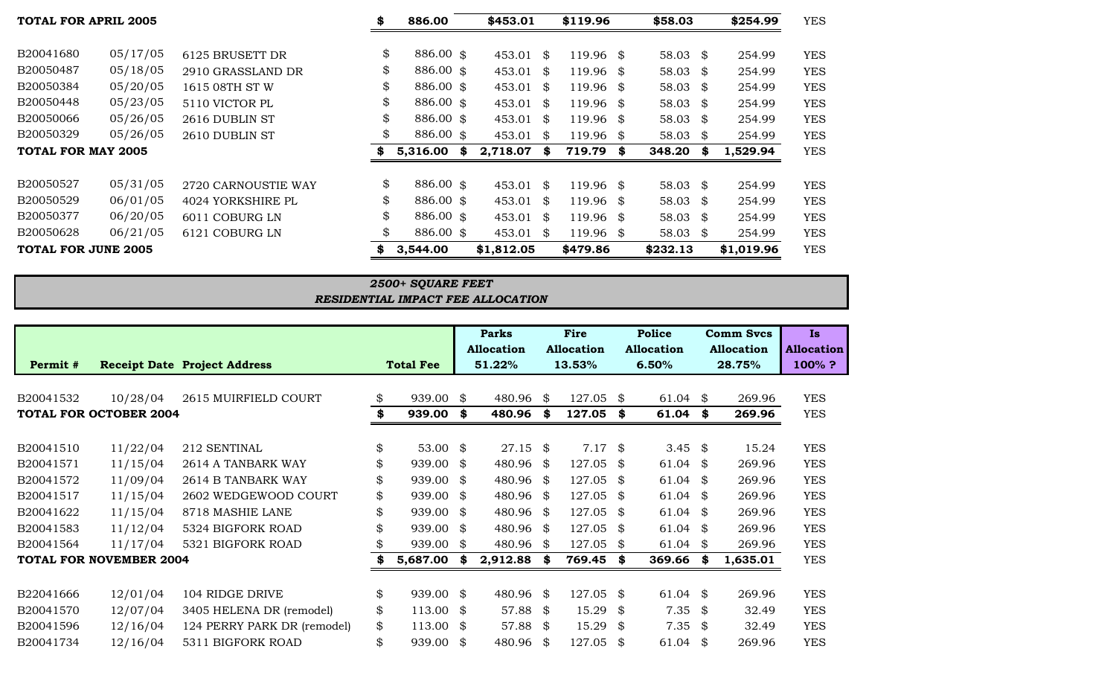| <b>TOTAL FOR APRIL 2005</b> |          | \$<br>886.00        |                 | \$453.01 |             | \$119.96 | \$58.03     | \$254.99            | <b>YES</b> |            |
|-----------------------------|----------|---------------------|-----------------|----------|-------------|----------|-------------|---------------------|------------|------------|
|                             |          |                     |                 |          |             |          |             |                     |            |            |
| B20041680                   | 05/17/05 | 6125 BRUSETT DR     | \$<br>886.00 \$ |          | 453.01      | \$       | 119.96 \$   | 58.03 $\frac{1}{2}$ | 254.99     | <b>YES</b> |
| B20050487                   | 05/18/05 | 2910 GRASSLAND DR   | \$<br>886.00 \$ |          | 453.01      | \$       | 119.96 \$   | 58.03 $\frac{1}{2}$ | 254.99     | <b>YES</b> |
| B20050384                   | 05/20/05 | 1615 08TH ST W      | \$<br>886.00 \$ |          | 453.01      | \$       | 119.96 \$   | 58.03 $\frac{1}{2}$ | 254.99     | <b>YES</b> |
| B20050448                   | 05/23/05 | 5110 VICTOR PL      | \$<br>886.00 \$ |          | 453.01      | \$       | 119.96 \$   | 58.03 $\frac{1}{2}$ | 254.99     | <b>YES</b> |
| B20050066                   | 05/26/05 | 2616 DUBLIN ST      | \$<br>886.00 \$ |          | 453.01      | - \$     | 119.96 \$   | 58.03 $\frac{1}{2}$ | 254.99     | <b>YES</b> |
| B20050329                   | 05/26/05 | 2610 DUBLIN ST      | \$<br>886.00 \$ |          | 453.01      | \$       | 119.96 \$   | 58.03 $\frac{1}{2}$ | 254.99     | <b>YES</b> |
| TOTAL FOR MAY 2005          |          |                     | 5,316.00        | S.       | 2,718.07    | SS.      | 719.79 \$   | $348.20$ \$         | 1,529.94   | <b>YES</b> |
|                             |          |                     |                 |          |             |          |             |                     |            |            |
| B20050527                   | 05/31/05 | 2720 CARNOUSTIE WAY | \$<br>886.00 \$ |          | $453.01$ \$ |          | 119.96 \$   | 58.03 $$$           | 254.99     | <b>YES</b> |
| B20050529                   | 06/01/05 | 4024 YORKSHIRE PL   | \$<br>886.00 \$ |          | 453.01      | \$       | 119.96 \$   | 58.03 $$$           | 254.99     | <b>YES</b> |
| B20050377                   | 06/20/05 | 6011 COBURG LN      | \$<br>886.00 \$ |          | 453.01      | \$       | 119.96 \$   | 58.03 $\frac{1}{2}$ | 254.99     | <b>YES</b> |
| B20050628                   | 06/21/05 | 6121 COBURG LN      | \$<br>886.00 \$ |          | 453.01      | \$       | $119.96$ \$ | 58.03 $\frac{1}{2}$ | 254.99     | <b>YES</b> |
| TOTAL FOR JUNE 2005         |          |                     | 3,544.00        |          | \$1,812.05  |          | \$479.86    | \$232.13            | \$1,019.96 | <b>YES</b> |

# *2500+ SQUARE FEET RESIDENTIAL IMPACT FEE ALLOCATION*

# **Parks Fire Police Comm Svcs Is Allocation Allocation Allocation Allocation Allocation Permit # Receipt Date Project Address Total Fee 51.22% 13.53% 6.50% 28.75% 100% ?**

| B20041532                      | 10/28/04 | 2615 MUIRFIELD COURT        | \$ | 939.00    | \$   | 480.96 \$     | 127.05 \$   |      | 61.04              | \$   | 269.96   | <b>YES</b> |
|--------------------------------|----------|-----------------------------|----|-----------|------|---------------|-------------|------|--------------------|------|----------|------------|
| <b>TOTAL FOR OCTOBER 2004</b>  |          |                             | \$ | 939.00    | S.   | 480.96 \$     | 127.05 \$   |      | 61.04              | S.   | 269.96   | <b>YES</b> |
|                                |          |                             |    |           |      |               |             |      |                    |      |          |            |
| B20041510                      | 11/22/04 | 212 SENTINAL                | \$ | 53.00 \$  |      | $27.15$ \$    | $7.17$ \$   |      | 3.45 $\frac{1}{2}$ |      | 15.24    | <b>YES</b> |
| B20041571                      | 11/15/04 | 2614 A TANBARK WAY          | \$ | 939.00    | -\$  | 480.96 \$     | 127.05 \$   |      | 61.04              | \$   | 269.96   | <b>YES</b> |
| B20041572                      | 11/09/04 | 2614 B TANBARK WAY          | \$ | 939.00    | \$   | 480.96 \$     | $127.05$ \$ |      | 61.04              | \$   | 269.96   | <b>YES</b> |
| B20041517                      | 11/15/04 | 2602 WEDGEWOOD COURT        | \$ | 939.00 \$ |      | 480.96 \$     | $127.05$ \$ |      | 61.04              | -\$  | 269.96   | <b>YES</b> |
| B20041622                      | 11/15/04 | 8718 MASHIE LANE            | \$ | 939.00    | \$   | 480.96 \$     | $127.05$ \$ |      | 61.04              | \$   | 269.96   | <b>YES</b> |
| B20041583                      | 11/12/04 | 5324 BIGFORK ROAD           | \$ | 939.00    | S.   | 480.96 \$     | $127.05$ \$ |      | 61.04              | \$   | 269.96   | <b>YES</b> |
| B20041564                      | 11/17/04 | 5321 BIGFORK ROAD           |    | 939.00    | \$   | 480.96 \$     | $127.05$ \$ |      | 61.04              | \$   | 269.96   | <b>YES</b> |
| <b>TOTAL FOR NOVEMBER 2004</b> |          |                             | S  | 5,687.00  | \$   | $2,912.88$ \$ | 769.45 \$   |      | 369.66             | \$   | 1,635.01 | <b>YES</b> |
| B22041666                      | 12/01/04 | 104 RIDGE DRIVE             | \$ | 939.00 \$ |      | 480.96 \$     | $127.05$ \$ |      | 61.04              | \$   | 269.96   | <b>YES</b> |
| B20041570                      | 12/07/04 | 3405 HELENA DR (remodel)    | \$ | 113.00    | - \$ | 57.88 \$      | $15.29$ \$  |      | $7.35$ \$          |      | 32.49    | <b>YES</b> |
| B20041596                      | 12/16/04 | 124 PERRY PARK DR (remodel) | \$ | 113.00    | -\$  | 57.88 $$$     | 15.29       | - \$ | $7.35$ \$          |      | 32.49    | <b>YES</b> |
| B20041734                      | 12/16/04 | 5311 BIGFORK ROAD           | \$ | 939.00    | S.   | 480.96 \$     | 127.05      | - \$ | 61.04              | - \$ | 269.96   | <b>YES</b> |
|                                |          |                             |    |           |      |               |             |      |                    |      |          |            |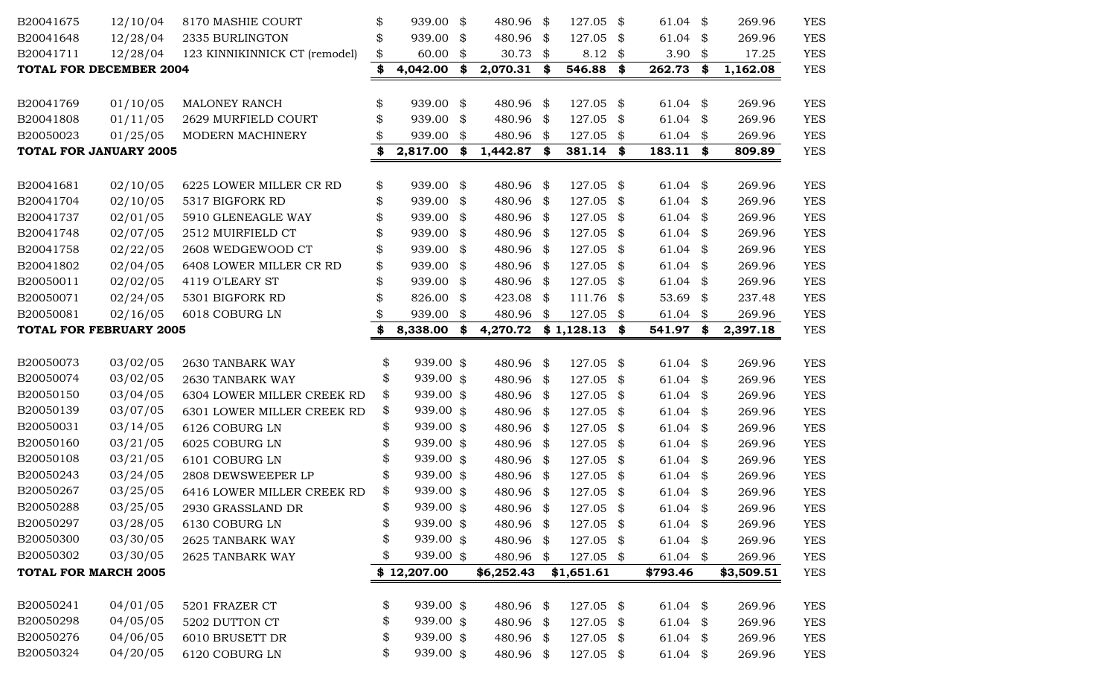| B20041675                      | 12/10/04 | 8170 MASHIE COURT             | \$<br>939.00    | \$<br>480.96      | \$<br>127.05      | \$   | 61.04      | \$<br>269.96   | <b>YES</b> |
|--------------------------------|----------|-------------------------------|-----------------|-------------------|-------------------|------|------------|----------------|------------|
| B20041648                      | 12/28/04 | 2335 BURLINGTON               | \$<br>939.00    | \$<br>480.96 \$   | 127.05            | \$   | 61.04      | \$<br>269.96   | <b>YES</b> |
| B20041711                      | 12/28/04 | 123 KINNIKINNICK CT (remodel) | \$<br>60.00     | \$<br>30.73 $$$   | $8.12$ \$         |      | 3.90       | \$<br>17.25    | <b>YES</b> |
| <b>TOTAL FOR DECEMBER 2004</b> |          |                               | \$<br>4,042.00  | \$<br>2,070.31 \$ | 546.88            | \$   | 262.73     | \$<br>1,162.08 | <b>YES</b> |
|                                |          |                               |                 |                   |                   |      |            |                |            |
| B20041769                      | 01/10/05 | MALONEY RANCH                 | \$<br>939.00    | \$<br>480.96      | \$<br>$127.05$ \$ |      | 61.04      | \$<br>269.96   | <b>YES</b> |
| B20041808                      | 01/11/05 | 2629 MURFIELD COURT           | \$<br>939.00    | \$<br>480.96 \$   | 127.05            | \$   | 61.04      | \$<br>269.96   | <b>YES</b> |
| B20050023                      | 01/25/05 | MODERN MACHINERY              | 939.00          | \$<br>480.96      | \$<br>127.05      | \$   | 61.04      | \$<br>269.96   | <b>YES</b> |
| <b>TOTAL FOR JANUARY 2005</b>  |          |                               | \$<br>2,817.00  | \$<br>1,442.87 \$ | 381.14            | \$   | 183.11     | \$<br>809.89   | <b>YES</b> |
|                                |          |                               |                 |                   |                   |      |            |                |            |
| B20041681                      | 02/10/05 | 6225 LOWER MILLER CR RD       | \$<br>939.00    | \$<br>480.96 \$   | 127.05 \$         |      | 61.04 $$$  | 269.96         | <b>YES</b> |
| B20041704                      | 02/10/05 | 5317 BIGFORK RD               | \$<br>939.00    | \$<br>480.96 \$   | $127.05$ \$       |      | 61.04      | \$<br>269.96   | <b>YES</b> |
| B20041737                      | 02/01/05 | 5910 GLENEAGLE WAY            | \$<br>939.00    | \$<br>480.96 \$   | 127.05            | - \$ | 61.04      | \$<br>269.96   | <b>YES</b> |
| B20041748                      | 02/07/05 | 2512 MUIRFIELD CT             | \$<br>939.00    | \$<br>480.96 \$   | 127.05 \$         |      | 61.04      | \$<br>269.96   | <b>YES</b> |
| B20041758                      | 02/22/05 | 2608 WEDGEWOOD CT             | \$<br>939.00    | \$<br>480.96 \$   | 127.05            | - \$ | 61.04      | \$<br>269.96   | <b>YES</b> |
| B20041802                      | 02/04/05 | 6408 LOWER MILLER CR RD       | \$<br>939.00    | \$<br>480.96 \$   | 127.05 \$         |      | 61.04      | \$<br>269.96   | <b>YES</b> |
| B20050011                      | 02/02/05 | 4119 O'LEARY ST               | \$<br>939.00    | \$<br>480.96 \$   | 127.05            | \$   | 61.04      | \$<br>269.96   | <b>YES</b> |
| B20050071                      | 02/24/05 | 5301 BIGFORK RD               | \$<br>826.00    | \$<br>423.08      | \$<br>111.76      | \$   | 53.69      | \$<br>237.48   | <b>YES</b> |
| B20050081                      | 02/16/05 | 6018 COBURG LN                | 939.00          | \$<br>480.96      | \$<br>$127.05$ \$ |      | 61.04      | \$<br>269.96   | <b>YES</b> |
| <b>TOTAL FOR FEBRUARY 2005</b> |          |                               | \$<br>8,338.00  | \$<br>4,270.72    | $$1,128.13$ \$    |      | 541.97     | \$<br>2,397.18 | <b>YES</b> |
|                                |          |                               |                 |                   |                   |      |            |                |            |
| B20050073                      | 03/02/05 | 2630 TANBARK WAY              | \$<br>939.00 \$ | 480.96 \$         | $127.05$ \$       |      | 61.04      | \$<br>269.96   | <b>YES</b> |
| B20050074                      | 03/02/05 | 2630 TANBARK WAY              | \$<br>939.00 \$ | 480.96 \$         | $127.05$ \$       |      | 61.04      | \$<br>269.96   | <b>YES</b> |
| B20050150                      | 03/04/05 | 6304 LOWER MILLER CREEK RD    | \$<br>939.00 \$ | 480.96 \$         | 127.05 \$         |      | 61.04      | \$<br>269.96   | <b>YES</b> |
| B20050139                      | 03/07/05 | 6301 LOWER MILLER CREEK RD    | \$<br>939.00 \$ | 480.96 \$         | 127.05 \$         |      | 61.04      | \$<br>269.96   | <b>YES</b> |
| B20050031                      | 03/14/05 | 6126 COBURG LN                | \$<br>939.00 \$ | 480.96 \$         | 127.05            | \$   | 61.04      | \$<br>269.96   | <b>YES</b> |
| B20050160                      | 03/21/05 | 6025 COBURG LN                | \$<br>939.00 \$ | 480.96 \$         | 127.05            | \$   | 61.04      | \$<br>269.96   | <b>YES</b> |
| B20050108                      | 03/21/05 | 6101 COBURG LN                | \$<br>939.00 \$ | 480.96 \$         | 127.05 \$         |      | 61.04      | \$<br>269.96   | <b>YES</b> |
| B20050243                      | 03/24/05 | 2808 DEWSWEEPER LP            | \$<br>939.00 \$ | 480.96 \$         | 127.05            | - \$ | 61.04      | \$<br>269.96   | <b>YES</b> |
| B20050267                      | 03/25/05 | 6416 LOWER MILLER CREEK RD    | \$<br>939.00 \$ | 480.96            | \$<br>127.05 \$   |      | 61.04      | \$<br>269.96   | <b>YES</b> |
| B20050288                      | 03/25/05 | 2930 GRASSLAND DR             | \$<br>939.00 \$ | 480.96            | \$<br>127.05      | \$   | 61.04      | \$<br>269.96   | <b>YES</b> |
| B20050297                      | 03/28/05 | 6130 COBURG LN                | \$<br>939.00 \$ | 480.96 \$         | 127.05 \$         |      | $61.04$ \$ | 269.96         | <b>YES</b> |
| B20050300                      | 03/30/05 | 2625 TANBARK WAY              | \$<br>939.00 \$ | 480.96            | \$<br>127.05 \$   |      | 61.04      | \$<br>269.96   | <b>YES</b> |
| B20050302                      | 03/30/05 | 2625 TANBARK WAY              | \$<br>939.00 \$ | 480.96            | \$<br>127.05 \$   |      | $61.04$ \$ | 269.96         | <b>YES</b> |
| <b>TOTAL FOR MARCH 2005</b>    |          |                               | \$12,207.00     | \$6,252.43        | \$1,651.61        |      | \$793.46   | \$3,509.51     | <b>YES</b> |
|                                |          |                               |                 |                   |                   |      |            |                |            |
| B20050241                      | 04/01/05 | 5201 FRAZER CT                | \$<br>939.00 \$ | 480.96 \$         | 127.05 \$         |      | $61.04$ \$ | 269.96         | <b>YES</b> |
| B20050298                      | 04/05/05 | 5202 DUTTON CT                | \$<br>939.00 \$ | 480.96 \$         | 127.05 \$         |      | 61.04      | \$<br>269.96   | <b>YES</b> |
| B20050276                      | 04/06/05 | 6010 BRUSETT DR               | \$<br>939.00 \$ | 480.96 \$         | 127.05 \$         |      | 61.04      | \$<br>269.96   | <b>YES</b> |
| B20050324                      | 04/20/05 | 6120 COBURG LN                | \$<br>939.00 \$ | 480.96 \$         | 127.05 \$         |      | $61.04$ \$ | 269.96         | YES        |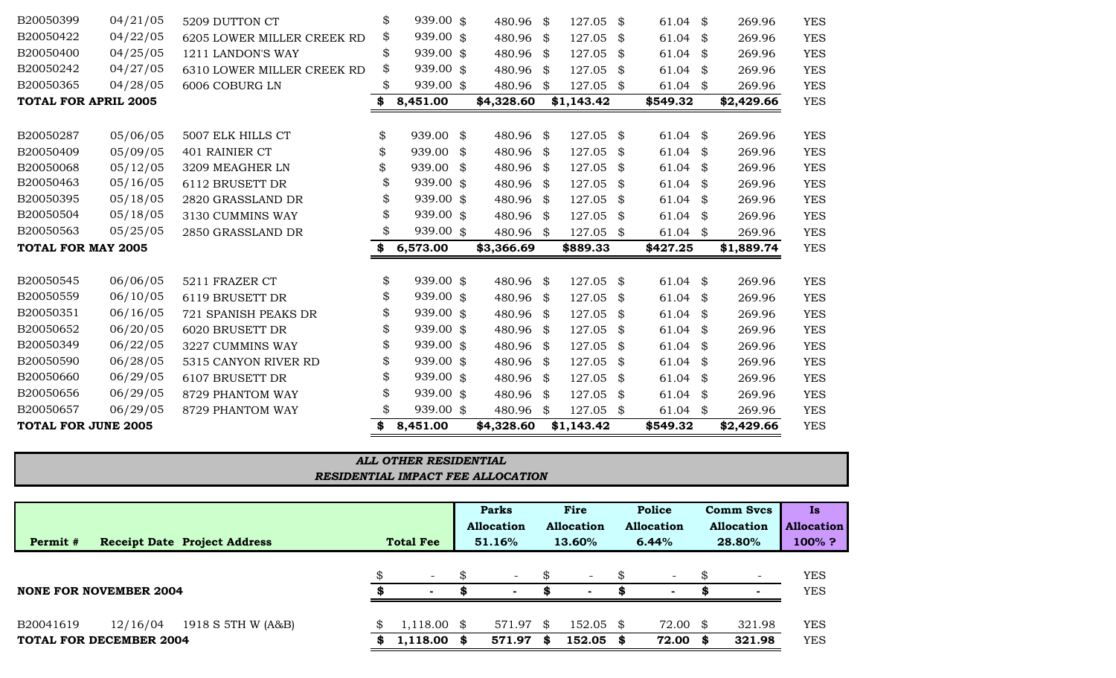|                               |          |                                     |    |                  |     | <b>Parks</b>                |      | Fire                        |     | <b>Police</b>              |    | <b>Comm Svcs</b>            | Is                             |
|-------------------------------|----------|-------------------------------------|----|------------------|-----|-----------------------------|------|-----------------------------|-----|----------------------------|----|-----------------------------|--------------------------------|
| Permit #                      |          | <b>Receipt Date Project Address</b> |    | <b>Total Fee</b> |     | <b>Allocation</b><br>51.16% |      | <b>Allocation</b><br>13.60% |     | <b>Allocation</b><br>6.44% |    | <b>Allocation</b><br>28.80% | <b>Allocation</b><br>$100\%$ ? |
|                               |          |                                     | \$ | $\sim$           | SS. | $\sim$                      | \$   | $\overline{\phantom{a}}$    | -\$ | $\overline{\phantom{a}}$   |    | $\overline{\phantom{a}}$    | <b>YES</b>                     |
| <b>NONE FOR NOVEMBER 2004</b> |          |                                     | Ж. | . .              |     | $\sim$                      | S    | $\sim$                      | S   |                            |    |                             | <b>YES</b>                     |
| B20041619                     | 12/16/04 | 1918 S 5TH W (A&B)                  | \$ | $1,118.00$ \$    |     | 571.97 \$                   |      | $152.05$ \$                 |     | 72.00 \$                   |    | 321.98                      | <b>YES</b>                     |
| TOTAL FOR DECEMBER 2004       |          |                                     |    | 1,118.00         | S   | 571.97                      | - SS | 152.05                      | \$  | 72.00                      | S. | 321.98                      | <b>YES</b>                     |

| E 2005 | 8,451.00                                 | \$4,328.60 | \$1,143.42 | \$549.32 |
|--------|------------------------------------------|------------|------------|----------|
|        |                                          |            |            |          |
|        | ALL OTHER RESIDENTIAL                    |            |            |          |
|        | <b>RESIDENTIAL IMPACT FEE ALLOCATION</b> |            |            |          |
|        |                                          |            |            |          |

| B20050399                   | 04/21/05 | 5209 DUTTON CT             | \$<br>939.00 \$ | 480.96 \$       |     | 127.05 \$  | $61.04$ \$       | 269.96       | <b>YES</b> |
|-----------------------------|----------|----------------------------|-----------------|-----------------|-----|------------|------------------|--------------|------------|
| B20050422                   | 04/22/05 | 6205 LOWER MILLER CREEK RD | \$<br>939.00 \$ | 480.96 \$       |     | 127.05     | \$<br>61.04 $$$  | 269.96       | <b>YES</b> |
| B20050400                   | 04/25/05 | 1211 LANDON'S WAY          | \$<br>939.00 \$ | 480.96 \$       |     | 127.05     | \$<br>61.04 $$$  | 269.96       | <b>YES</b> |
| B20050242                   | 04/27/05 | 6310 LOWER MILLER CREEK RD | \$<br>939.00 \$ | 480.96 \$       |     | 127.05     | \$<br>$61.04$ \$ | 269.96       | <b>YES</b> |
| B20050365                   | 04/28/05 | 6006 COBURG LN             | 939.00 \$       | 480.96          | \$  | 127.05     | \$<br>61.04 $$$  | 269.96       | <b>YES</b> |
| <b>TOTAL FOR APRIL 2005</b> |          |                            | \$<br>8,451.00  | \$4,328.60      |     | \$1,143.42 | \$549.32         | \$2,429.66   | <b>YES</b> |
|                             |          |                            |                 |                 |     |            |                  |              |            |
| B20050287                   | 05/06/05 | 5007 ELK HILLS CT          | \$<br>939.00 \$ | 480.96 \$       |     | 127.05     | \$<br>$61.04$ \$ | 269.96       | <b>YES</b> |
| B20050409                   | 05/09/05 | 401 RAINIER CT             | \$<br>939.00    | \$<br>480.96 \$ |     | 127.05     | \$<br>$61.04$ \$ | 269.96       | <b>YES</b> |
| B20050068                   | 05/12/05 | 3209 MEAGHER LN            | \$<br>939.00    | \$<br>480.96 \$ |     | 127.05     | \$<br>$61.04$ \$ | 269.96       | <b>YES</b> |
| B20050463                   | 05/16/05 | 6112 BRUSETT DR            | 939.00 \$       | 480.96 \$       |     | 127.05     | \$<br>61.04 $$$  | 269.96       | <b>YES</b> |
| B20050395                   | 05/18/05 | 2820 GRASSLAND DR          | 939.00 \$       | 480.96 \$       |     | 127.05     | \$<br>61.04 $$$  | 269.96       | <b>YES</b> |
| B20050504                   | 05/18/05 | 3130 CUMMINS WAY           | 939.00 \$       | 480.96          | -\$ | 127.05     | \$<br>$61.04$ \$ | 269.96       | <b>YES</b> |
| B20050563                   | 05/25/05 | 2850 GRASSLAND DR          | \$<br>939.00 \$ | 480.96 \$       |     | 127.05     | \$<br>$61.04$ \$ | 269.96       | <b>YES</b> |
| <b>TOTAL FOR MAY 2005</b>   |          |                            | \$<br>6,573.00  | \$3,366.69      |     | \$889.33   | \$427.25         | \$1,889.74   | <b>YES</b> |
|                             |          |                            |                 |                 |     |            |                  |              |            |
| B20050545                   | 06/06/05 | 5211 FRAZER CT             | \$<br>939.00 \$ | 480.96 \$       |     | 127.05     | \$<br>61.04 $$$  | 269.96       | <b>YES</b> |
| B20050559                   | 06/10/05 | 6119 BRUSETT DR            | 939.00 \$       | 480.96 \$       |     | 127.05     | \$<br>61.04 $$$  | 269.96       | <b>YES</b> |
| B20050351                   | 06/16/05 | 721 SPANISH PEAKS DR       | 939.00 \$       | 480.96 \$       |     | 127.05     | \$<br>$61.04$ \$ | 269.96       | <b>YES</b> |
| B20050652                   | 06/20/05 | 6020 BRUSETT DR            | 939.00 \$       | 480.96 \$       |     | 127.05     | \$<br>61.04 $$$  | 269.96       | <b>YES</b> |
| B20050349                   | 06/22/05 | 3227 CUMMINS WAY           | \$<br>939.00 \$ | 480.96 \$       |     | 127.05     | \$<br>$61.04$ \$ | 269.96       | <b>YES</b> |
| B20050590                   | 06/28/05 | 5315 CANYON RIVER RD       | \$<br>939.00 \$ | 480.96 \$       |     | 127.05     | \$<br>61.04      | \$<br>269.96 | <b>YES</b> |
| B20050660                   | 06/29/05 | 6107 BRUSETT DR            | \$<br>939.00 \$ | 480.96 \$       |     | 127.05     | \$<br>61.04 $$$  | 269.96       | <b>YES</b> |
| B20050656                   | 06/29/05 | 8729 PHANTOM WAY           | 939.00 \$       | 480.96 \$       |     | 127.05     | \$<br>61.04 $$$  | 269.96       | <b>YES</b> |
| B20050657                   | 06/29/05 | 8729 PHANTOM WAY           | \$<br>939.00 \$ | 480.96          | \$  | 127.05     | \$<br>61.04 $$$  | 269.96       | <b>YES</b> |
| <b>TOTAL FOR JUNE 2005</b>  |          |                            | \$<br>8,451.00  | \$4,328.60      |     | \$1,143.42 | \$549.32         | \$2,429.66   | <b>YES</b> |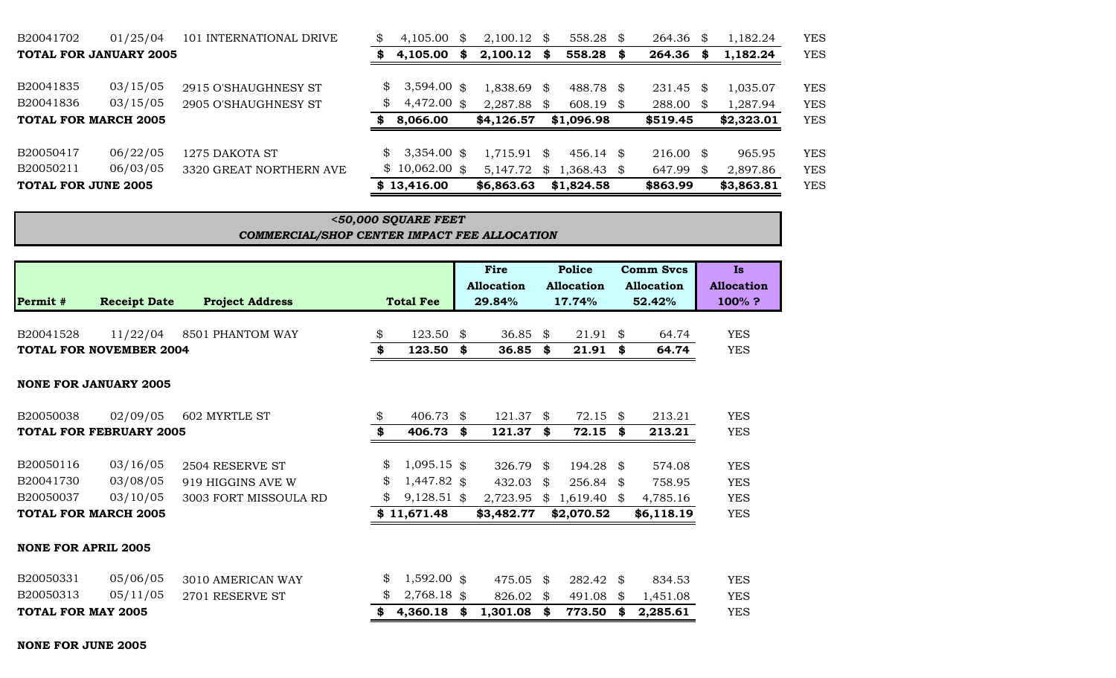| B20041702                   | 01/25/04                      | 101 INTERNATIONAL DRIVE | S              | 4.105.00        | \$ | $2,100.12$ \$ |      | 558.28 \$                                     | 264.36               | - \$ | 1,182.24   | <b>YES</b> |
|-----------------------------|-------------------------------|-------------------------|----------------|-----------------|----|---------------|------|-----------------------------------------------|----------------------|------|------------|------------|
|                             | <b>TOTAL FOR JANUARY 2005</b> |                         | S              | 4,105.00        | S. | 2,100.12      | - \$ | 558.28 \$                                     | 264.36               | S    | 1,182.24   | <b>YES</b> |
| B20041835                   | 03/15/05                      | 2915 O'SHAUGHNESY ST    | $\mathbb{S}^-$ | $3,594.00$ \$   |    | $1,838.69$ \$ |      | 488.78 \$                                     | 231.45               | - \$ | 1,035.07   | <b>YES</b> |
| B20041836                   | 03/15/05                      | 2905 O'SHAUGHNESY ST    | \$             | 4,472.00 \$     |    | 2,287.88 \$   |      | $608.19$ \$                                   | 288.00 \$            |      | 1,287.94   | <b>YES</b> |
| <b>TOTAL FOR MARCH 2005</b> |                               |                         | S              | 8,066.00        |    | \$4,126.57    |      | \$1,096.98                                    | \$519.45             |      | \$2,323.01 | <b>YES</b> |
| B20050417                   | 06/22/05                      | 1275 DAKOTA ST          | $\mathbb{S}^-$ | $3,354.00$ \$   |    | $1,715.91$ \$ |      | 456.14 \$                                     | $216.00 \text{ }$ \$ |      | 965.95     | <b>YES</b> |
| B20050211                   | 06/03/05                      | 3320 GREAT NORTHERN AVE |                | $$10,062.00$ \$ |    |               |      | 5,147.72 $\frac{1}{2}$ 1,368.43 $\frac{1}{2}$ | 647.99               | - \$ | 2,897.86   | <b>YES</b> |
| TOTAL FOR JUNE 2005         |                               |                         |                | \$13,416.00     |    | \$6,863.63    |      | \$1,824.58                                    | \$863.99             |      | \$3,863.81 | <b>YES</b> |

| $<$ 50,000 SQUARE FEET                       |  |
|----------------------------------------------|--|
| COMMERCIAL/SHOP CENTER IMPACT FEE ALLOCATION |  |

| Permit #                   | <b>Receipt Date</b>            | <b>Project Address</b>   | <b>Total Fee</b>    |    | Fire<br><b>Allocation</b><br>29.84% |     | Police<br>Allocation<br>17.74% |     | <b>Comm Svcs</b><br>Allocation<br>52.42% | <b>Is</b><br><b>Allocation</b><br>100%? |
|----------------------------|--------------------------------|--------------------------|---------------------|----|-------------------------------------|-----|--------------------------------|-----|------------------------------------------|-----------------------------------------|
| B20041528                  | 11/22/04                       | 8501 PHANTOM WAY         | \$<br>123.50        | \$ | 36.85                               | SS. | $21.91$ \$                     |     | 64.74                                    | <b>YES</b>                              |
|                            | <b>TOTAL FOR NOVEMBER 2004</b> |                          | \$<br>123.50        | \$ | 36.85                               | \$  | 21.91                          | \$  | 64.74                                    | <b>YES</b>                              |
|                            | <b>NONE FOR JANUARY 2005</b>   |                          |                     |    |                                     |     |                                |     |                                          |                                         |
| B20050038                  | 02/09/05                       | <b>602 MYRTLE ST</b>     | \$<br>406.73        | \$ | $121.37$ \$                         |     | $72.15$ \$                     |     | 213.21                                   | <b>YES</b>                              |
|                            | <b>TOTAL FOR FEBRUARY 2005</b> |                          | \$<br>406.73        | \$ | 121.37                              | \$  | 72.15                          | -\$ | 213.21                                   | <b>YES</b>                              |
| B20050116                  | 03/16/05                       | 2504 RESERVE ST          | \$<br>$1,095.15$ \$ |    | 326.79                              | \$  | 194.28 \$                      |     | 574.08                                   | <b>YES</b>                              |
| B20041730                  | 03/08/05                       | 919 HIGGINS AVE W        | \$<br>1,447.82 \$   |    | 432.03                              | \$  | 256.84                         | S.  | 758.95                                   | <b>YES</b>                              |
| B20050037                  | 03/10/05                       | 3003 FORT MISSOULA RD    | \$<br>$9,128.51$ \$ |    | 2,723.95                            |     | \$1,619.40                     | \$  | 4,785.16                                 | <b>YES</b>                              |
|                            | <b>TOTAL FOR MARCH 2005</b>    |                          | \$11,671.48         |    | \$3,482.77                          |     | \$2,070.52                     |     | \$6,118.19                               | <b>YES</b>                              |
| <b>NONE FOR APRIL 2005</b> |                                |                          |                     |    |                                     |     |                                |     |                                          |                                         |
| B20050331                  | 05/06/05                       | <b>3010 AMERICAN WAY</b> | \$<br>$1,592.00$ \$ |    | 475.05                              | -\$ | 282.42                         | -\$ | 834.53                                   | <b>YES</b>                              |
| B20050313                  | 05/11/05                       | 2701 RESERVE ST          | \$<br>2,768.18 \$   |    | 826.02                              | \$  | 491.08                         | \$  | 1,451.08                                 | <b>YES</b>                              |
| <b>TOTAL FOR MAY 2005</b>  |                                |                          | 4,360.18            | S  | 1,301.08                            | \$  | 773.50                         | \$  | 2,285.61                                 | <b>YES</b>                              |

#### **NONE FOR JUNE 2005**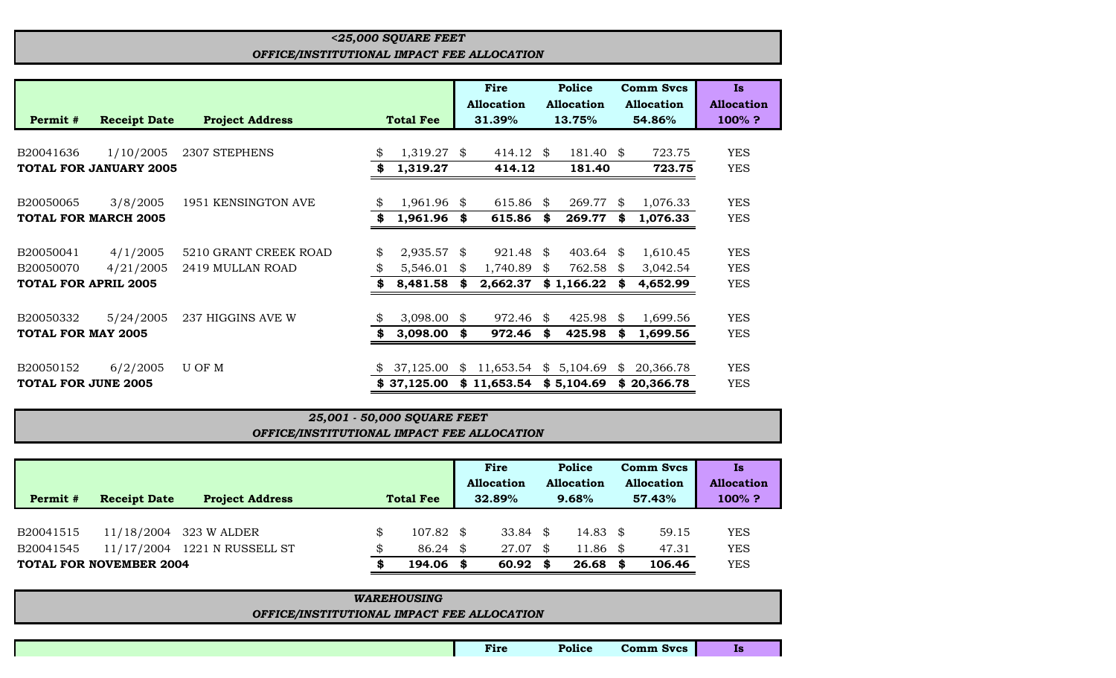# *<25,000 SQUARE FEET OFFICE/INSTITUTIONAL IMPACT FEE ALLOCATION*

|                             |                               |                        |                  |                | Fire              |     | <b>Police</b>     |     | <b>Comm Svcs</b>  | Is                |
|-----------------------------|-------------------------------|------------------------|------------------|----------------|-------------------|-----|-------------------|-----|-------------------|-------------------|
|                             |                               |                        |                  |                | <b>Allocation</b> |     | <b>Allocation</b> |     | <b>Allocation</b> | <b>Allocation</b> |
| Permit #                    | <b>Receipt Date</b>           | <b>Project Address</b> | <b>Total Fee</b> |                | 31.39%            |     | 13.75%            |     | 54.86%            | 100%?             |
|                             |                               |                        |                  |                |                   |     |                   |     |                   |                   |
| B20041636                   | 1/10/2005                     | 2307 STEPHENS          | 1,319.27         | \$             | 414.12            | -\$ | $181.40$ \$       |     | 723.75            | <b>YES</b>        |
|                             | <b>TOTAL FOR JANUARY 2005</b> |                        | 1,319.27         |                | 414.12            |     | 181.40            |     | 723.75            | <b>YES</b>        |
|                             |                               |                        |                  |                |                   |     |                   |     |                   |                   |
| B20050065                   | 3/8/2005                      | 1951 KENSINGTON AVE    | $1,961.96$ \$    |                | 615.86            | -S  | 269.77            | \$  | 1,076.33          | <b>YES</b>        |
| <b>TOTAL FOR MARCH 2005</b> |                               |                        | 1,961.96 \$      |                | 615.86            | \$  | 269.77            | S.  | 1,076.33          | <b>YES</b>        |
|                             |                               |                        |                  |                |                   |     |                   |     |                   |                   |
| B20050041                   | 4/1/2005                      | 5210 GRANT CREEK ROAD  | \$<br>2,935.57   | \$             | 921.48            | \$  | 403.64            | SS. | 1,610.45          | <b>YES</b>        |
| B20050070                   | 4/21/2005                     | 2419 MULLAN ROAD       | 5,546.01         | \$             | 1,740.89          | \$. | 762.58            | \$  | 3,042.54          | <b>YES</b>        |
| <b>TOTAL FOR APRIL 2005</b> |                               |                        | 8,481.58         | \$             | 2,662.37          |     | \$1,166.22        |     | 4,652.99          | <b>YES</b>        |
|                             |                               |                        |                  |                |                   |     |                   |     |                   |                   |
| B20050332                   | 5/24/2005                     | 237 HIGGINS AVE W      | 3,098.00         | \$             | 972.46            | \$  | 425.98            | -\$ | 1,699.56          | <b>YES</b>        |
| <b>TOTAL FOR MAY 2005</b>   |                               |                        | 3,098.00         | \$             | 972.46            | \$  | 425.98            |     | 1,699.56          | <b>YES</b>        |
|                             |                               |                        |                  |                |                   |     |                   |     |                   |                   |
| B20050152                   | 6/2/2005                      | U OF M                 | 37,125.00        | $\mathfrak{P}$ | 11,653.54         |     | \$5,104.69        | \$  | 20,366.78         | <b>YES</b>        |
| <b>TOTAL FOR JUNE 2005</b>  |                               |                        | \$37,125.00      |                | \$11,653.54       |     | \$5,104.69        |     | \$20,366.78       | <b>YES</b>        |

# *OFFICE/INSTITUTIONAL IMPACT FEE ALLOCATION 25,001 - 50,000 SQUARE FEET*

|                                 |                        |                  |           | Fire              |       | Police              |        | <b>Comm Svcs</b> | Is                |
|---------------------------------|------------------------|------------------|-----------|-------------------|-------|---------------------|--------|------------------|-------------------|
|                                 |                        |                  |           | <b>Allocation</b> |       | Allocation          |        | Allocation       | <b>Allocation</b> |
| Permit #<br><b>Receipt Date</b> | <b>Project Address</b> | <b>Total Fee</b> |           | 32.89%            | 9.68% |                     | 57.43% |                  | $100\%$ ?         |
|                                 |                        |                  |           |                   |       |                     |        |                  |                   |
| B20041515<br>11/18/2004         | 323 W ALDER            | SS.              | 107.82 \$ | 33.84             | -SS   | 14.83 $\frac{1}{3}$ |        | 59.15            | <b>YES</b>        |
| B20041545<br>11/17/2004         | 1221 N RUSSELL ST      |                  | 86.24     | 27.07<br>\$       | S     | $11.86$ \$          |        | 47.31            | <b>YES</b>        |
| <b>TOTAL FOR NOVEMBER 2004</b>  |                        |                  | 194.06    | 60.92             | S     | 26.68               | - \$   | 106.46           | <b>YES</b>        |

| <b>WAREHOUSING</b>                         |  |  |  |  |  |  |
|--------------------------------------------|--|--|--|--|--|--|
| OFFICE/INSTITUTIONAL IMPACT FEE ALLOCATION |  |  |  |  |  |  |
|                                            |  |  |  |  |  |  |